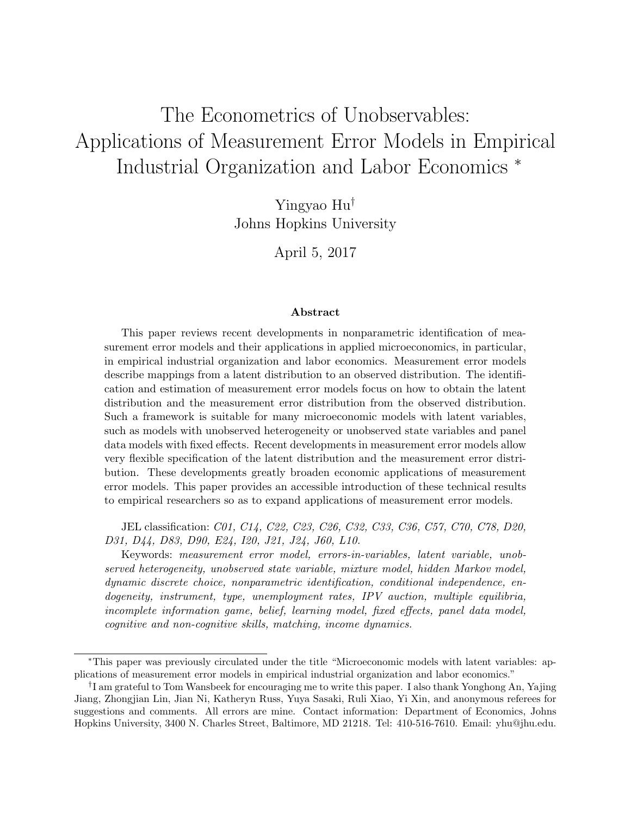# The Econometrics of Unobservables: Applications of Measurement Error Models in Empirical Industrial Organization and Labor Economics <sup>∗</sup>

Yingyao Hu† Johns Hopkins University

April 5, 2017

#### Abstract

This paper reviews recent developments in nonparametric identification of measurement error models and their applications in applied microeconomics, in particular, in empirical industrial organization and labor economics. Measurement error models describe mappings from a latent distribution to an observed distribution. The identification and estimation of measurement error models focus on how to obtain the latent distribution and the measurement error distribution from the observed distribution. Such a framework is suitable for many microeconomic models with latent variables, such as models with unobserved heterogeneity or unobserved state variables and panel data models with fixed effects. Recent developments in measurement error models allow very flexible specification of the latent distribution and the measurement error distribution. These developments greatly broaden economic applications of measurement error models. This paper provides an accessible introduction of these technical results to empirical researchers so as to expand applications of measurement error models.

JEL classification: C01, C14, C22, C23, C26, C32, C33, C36, C57, C70, C78, D20, D31, D44, D83, D90, E24, I20, J21, J24, J60, L10.

Keywords: measurement error model, errors-in-variables, latent variable, unobserved heterogeneity, unobserved state variable, mixture model, hidden Markov model, dynamic discrete choice, nonparametric identification, conditional independence, endogeneity, instrument, type, unemployment rates, IPV auction, multiple equilibria, incomplete information game, belief, learning model, fixed effects, panel data model, cognitive and non-cognitive skills, matching, income dynamics.

<sup>∗</sup>This paper was previously circulated under the title "Microeconomic models with latent variables: applications of measurement error models in empirical industrial organization and labor economics."

<sup>†</sup> I am grateful to Tom Wansbeek for encouraging me to write this paper. I also thank Yonghong An, Yajing Jiang, Zhongjian Lin, Jian Ni, Katheryn Russ, Yuya Sasaki, Ruli Xiao, Yi Xin, and anonymous referees for suggestions and comments. All errors are mine. Contact information: Department of Economics, Johns Hopkins University, 3400 N. Charles Street, Baltimore, MD 21218. Tel: 410-516-7610. Email: yhu@jhu.edu.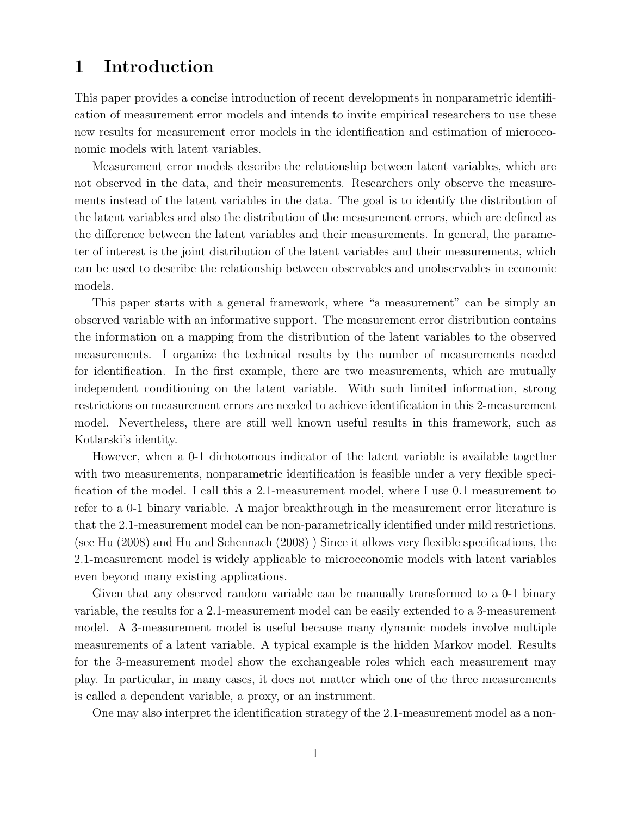## 1 Introduction

This paper provides a concise introduction of recent developments in nonparametric identification of measurement error models and intends to invite empirical researchers to use these new results for measurement error models in the identification and estimation of microeconomic models with latent variables.

Measurement error models describe the relationship between latent variables, which are not observed in the data, and their measurements. Researchers only observe the measurements instead of the latent variables in the data. The goal is to identify the distribution of the latent variables and also the distribution of the measurement errors, which are defined as the difference between the latent variables and their measurements. In general, the parameter of interest is the joint distribution of the latent variables and their measurements, which can be used to describe the relationship between observables and unobservables in economic models.

This paper starts with a general framework, where "a measurement" can be simply an observed variable with an informative support. The measurement error distribution contains the information on a mapping from the distribution of the latent variables to the observed measurements. I organize the technical results by the number of measurements needed for identification. In the first example, there are two measurements, which are mutually independent conditioning on the latent variable. With such limited information, strong restrictions on measurement errors are needed to achieve identification in this 2-measurement model. Nevertheless, there are still well known useful results in this framework, such as Kotlarski's identity.

However, when a 0-1 dichotomous indicator of the latent variable is available together with two measurements, nonparametric identification is feasible under a very flexible specification of the model. I call this a 2.1-measurement model, where I use 0.1 measurement to refer to a 0-1 binary variable. A major breakthrough in the measurement error literature is that the 2.1-measurement model can be non-parametrically identified under mild restrictions. (see Hu (2008) and Hu and Schennach (2008) ) Since it allows very flexible specifications, the 2.1-measurement model is widely applicable to microeconomic models with latent variables even beyond many existing applications.

Given that any observed random variable can be manually transformed to a 0-1 binary variable, the results for a 2.1-measurement model can be easily extended to a 3-measurement model. A 3-measurement model is useful because many dynamic models involve multiple measurements of a latent variable. A typical example is the hidden Markov model. Results for the 3-measurement model show the exchangeable roles which each measurement may play. In particular, in many cases, it does not matter which one of the three measurements is called a dependent variable, a proxy, or an instrument.

One may also interpret the identification strategy of the 2.1-measurement model as a non-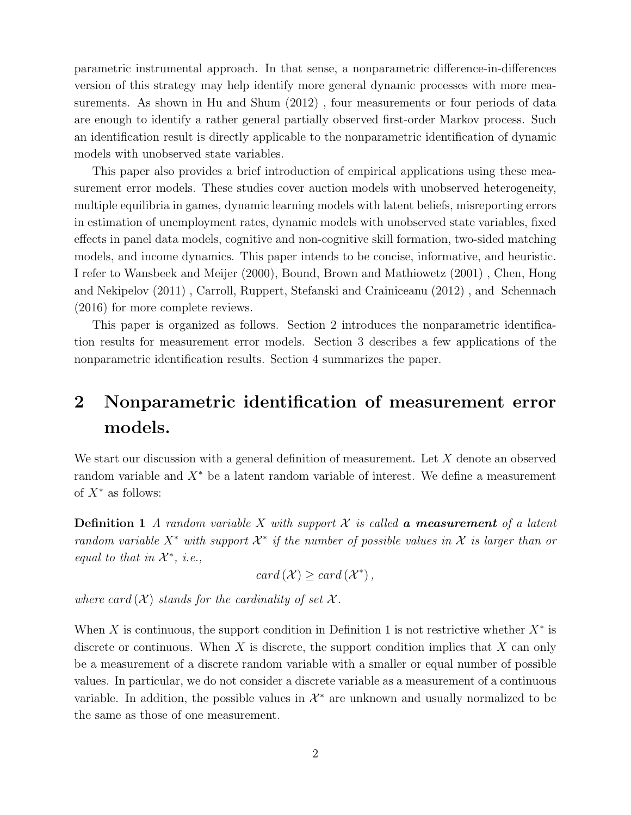parametric instrumental approach. In that sense, a nonparametric difference-in-differences version of this strategy may help identify more general dynamic processes with more measurements. As shown in Hu and Shum (2012) , four measurements or four periods of data are enough to identify a rather general partially observed first-order Markov process. Such an identification result is directly applicable to the nonparametric identification of dynamic models with unobserved state variables.

This paper also provides a brief introduction of empirical applications using these measurement error models. These studies cover auction models with unobserved heterogeneity, multiple equilibria in games, dynamic learning models with latent beliefs, misreporting errors in estimation of unemployment rates, dynamic models with unobserved state variables, fixed effects in panel data models, cognitive and non-cognitive skill formation, two-sided matching models, and income dynamics. This paper intends to be concise, informative, and heuristic. I refer to Wansbeek and Meijer (2000), Bound, Brown and Mathiowetz (2001) , Chen, Hong and Nekipelov (2011) , Carroll, Ruppert, Stefanski and Crainiceanu (2012) , and Schennach (2016) for more complete reviews.

This paper is organized as follows. Section 2 introduces the nonparametric identification results for measurement error models. Section 3 describes a few applications of the nonparametric identification results. Section 4 summarizes the paper.

# 2 Nonparametric identification of measurement error models.

We start our discussion with a general definition of measurement. Let X denote an observed random variable and  $X^*$  be a latent random variable of interest. We define a measurement of  $X^*$  as follows:

**Definition 1** A random variable X with support  $\mathcal X$  is called **a measurement** of a latent random variable  $X^*$  with support  $\mathcal{X}^*$  if the number of possible values in  $\mathcal X$  is larger than or equal to that in  $\mathcal{X}^*$ , i.e.,

$$
card\left(\mathcal{X}\right) \geq card\left(\mathcal{X}^*\right),
$$

where card  $(X)$  stands for the cardinality of set X.

When X is continuous, the support condition in Definition 1 is not restrictive whether  $X^*$  is discrete or continuous. When X is discrete, the support condition implies that X can only be a measurement of a discrete random variable with a smaller or equal number of possible values. In particular, we do not consider a discrete variable as a measurement of a continuous variable. In addition, the possible values in  $\mathcal{X}^*$  are unknown and usually normalized to be the same as those of one measurement.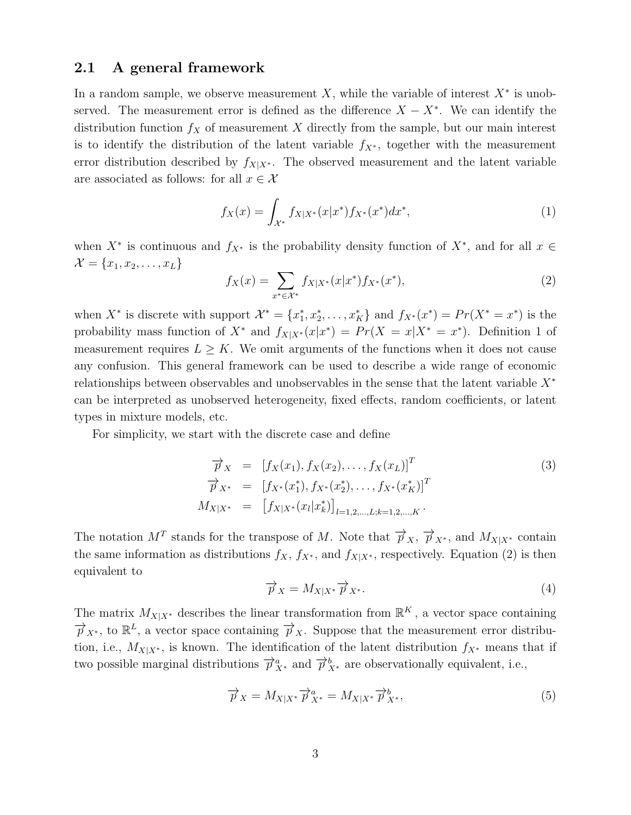## 2.1 A general framework

In a random sample, we observe measurement  $X$ , while the variable of interest  $X^*$  is unobserved. The measurement error is defined as the difference  $X - X^*$ . We can identify the distribution function  $f_X$  of measurement X directly from the sample, but our main interest is to identify the distribution of the latent variable  $f_{X^*}$ , together with the measurement error distribution described by  $f_{X|X^*}$ . The observed measurement and the latent variable are associated as follows: for all  $x \in \mathcal{X}$ 

$$
f_X(x) = \int_{\mathcal{X}^*} f_{X|X^*}(x|x^*) f_{X^*}(x^*) dx^*,\tag{1}
$$

when  $X^*$  is continuous and  $f_{X^*}$  is the probability density function of  $X^*$ , and for all  $x \in$  $\mathcal{X} = \{x_1, x_2, \ldots, x_L\}$ 

$$
f_X(x) = \sum_{x^* \in \mathcal{X}^*} f_{X|X^*}(x|x^*) f_{X^*}(x^*),\tag{2}
$$

when  $X^*$  is discrete with support  $\mathcal{X}^* = \{x_1^*, x_2^*, \ldots, x_K^*\}$  and  $f_{X^*}(x^*) = Pr(X^* = x^*)$  is the probability mass function of  $X^*$  and  $f_{X|X^*}(x|x^*) = Pr(X = x|X^* = x^*)$ . Definition 1 of measurement requires  $L \geq K$ . We omit arguments of the functions when it does not cause any confusion. This general framework can be used to describe a wide range of economic relationships between observables and unobservables in the sense that the latent variable X<sup>∗</sup> can be interpreted as unobserved heterogeneity, fixed effects, random coefficients, or latent types in mixture models, etc.

For simplicity, we start with the discrete case and define

$$
\overrightarrow{p}_X = [f_X(x_1), f_X(x_2), \dots, f_X(x_L)]^T \n\overrightarrow{p}_{X^*} = [f_{X^*}(x_1^*), f_{X^*}(x_2^*), \dots, f_{X^*}(x_K^*)]^T \nM_{X|X^*} = [f_{X|X^*}(x_l|x_k^*)]_{l=1,2,\dots,L;k=1,2,\dots,K}.
$$
\n(3)

The notation  $M^T$  stands for the transpose of M. Note that  $\overrightarrow{p}_{X}$ ,  $\overrightarrow{p}_{X^*}$ , and  $M_{X|X^*}$  contain the same information as distributions  $f_X$ ,  $f_{X^*}$ , and  $f_{X|X^*}$ , respectively. Equation (2) is then equivalent to

$$
\overrightarrow{p}_X = M_{X|X^*} \overrightarrow{p}_{X^*}.
$$
\n(4)

The matrix  $M_{X|X^*}$  describes the linear transformation from  $\mathbb{R}^K$ , a vector space containing  $\overrightarrow{p}_{X^*}$ , to  $\mathbb{R}^L$ , a vector space containing  $\overrightarrow{p}_X$ . Suppose that the measurement error distribution, i.e.,  $M_{X|X^*}$ , is known. The identification of the latent distribution  $f_{X^*}$  means that if two possible marginal distributions  $\overrightarrow{p}_{X^*}^a$  and  $\overrightarrow{p}_{X^*}^b$  are observationally equivalent, i.e.,

$$
\overrightarrow{p}_X = M_{X|X^*} \overrightarrow{p}_{X^*}^a = M_{X|X^*} \overrightarrow{p}_{X^*}^b,
$$
\n(5)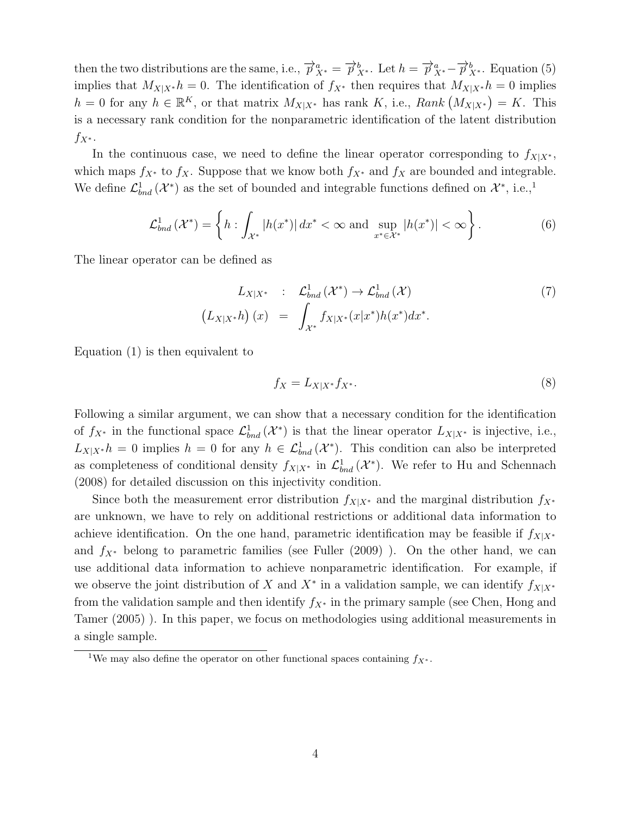then the two distributions are the same, i.e.,  $\overrightarrow{p}_{X^*}^a = \overrightarrow{p}_{X^*}^b$ . Let  $h = \overrightarrow{p}_{X^*}^a - \overrightarrow{p}_{X^*}^b$ . Equation (5) implies that  $M_{X|X^*} h = 0$ . The identification of  $f_{X^*}$  then requires that  $M_{X|X^*} h = 0$  implies  $h = 0$  for any  $h \in \mathbb{R}^K$ , or that matrix  $M_{X|X^*}$  has rank K, i.e.,  $Rank(M_{X|X^*}) = K$ . This is a necessary rank condition for the nonparametric identification of the latent distribution  $f_{X^*}$ .

In the continuous case, we need to define the linear operator corresponding to  $f_{X|X^*}$ , which maps  $f_{X^*}$  to  $f_X$ . Suppose that we know both  $f_{X^*}$  and  $f_X$  are bounded and integrable. We define  $\mathcal{L}_{bnd}^1(\mathcal{X}^*)$  as the set of bounded and integrable functions defined on  $\mathcal{X}^*$ , i.e.,<sup>1</sup>

$$
\mathcal{L}_{bnd}^1\left(\mathcal{X}^*\right) = \left\{ h : \int_{\mathcal{X}^*} |h(x^*)| \, dx^* < \infty \text{ and } \sup_{x^* \in \mathcal{X}^*} |h(x^*)| < \infty \right\}. \tag{6}
$$

The linear operator can be defined as

$$
L_{X|X^*} : \mathcal{L}^1_{bnd}(\mathcal{X}^*) \to \mathcal{L}^1_{bnd}(\mathcal{X})
$$
  

$$
(L_{X|X^*}h)(x) = \int_{\mathcal{X}^*} f_{X|X^*}(x|x^*)h(x^*)dx^*.
$$
 (7)

Equation (1) is then equivalent to

$$
f_X = L_{X|X^*} f_{X^*}.\tag{8}
$$

Following a similar argument, we can show that a necessary condition for the identification of  $f_{X^*}$  in the functional space  $\mathcal{L}_{bnd}^1(\mathcal{X}^*)$  is that the linear operator  $L_{X|X^*}$  is injective, i.e.,  $L_{X|X^*}h = 0$  implies  $h = 0$  for any  $h \in \mathcal{L}_{bnd}^1(\mathcal{X}^*)$ . This condition can also be interpreted as completeness of conditional density  $f_{X|X^*}$  in  $\mathcal{L}^1_{bnd}(\mathcal{X}^*)$ . We refer to Hu and Schennach (2008) for detailed discussion on this injectivity condition.

Since both the measurement error distribution  $f_{X|X^*}$  and the marginal distribution  $f_{X^*}$ are unknown, we have to rely on additional restrictions or additional data information to achieve identification. On the one hand, parametric identification may be feasible if  $f_{X|X^*}$ and  $f_{X^*}$  belong to parametric families (see Fuller (2009)). On the other hand, we can use additional data information to achieve nonparametric identification. For example, if we observe the joint distribution of X and  $X^*$  in a validation sample, we can identify  $f_{X|X^*}$ from the validation sample and then identify  $f_{X^*}$  in the primary sample (see Chen, Hong and Tamer (2005) ). In this paper, we focus on methodologies using additional measurements in a single sample.

<sup>&</sup>lt;sup>1</sup>We may also define the operator on other functional spaces containing  $f_{X^*}$ .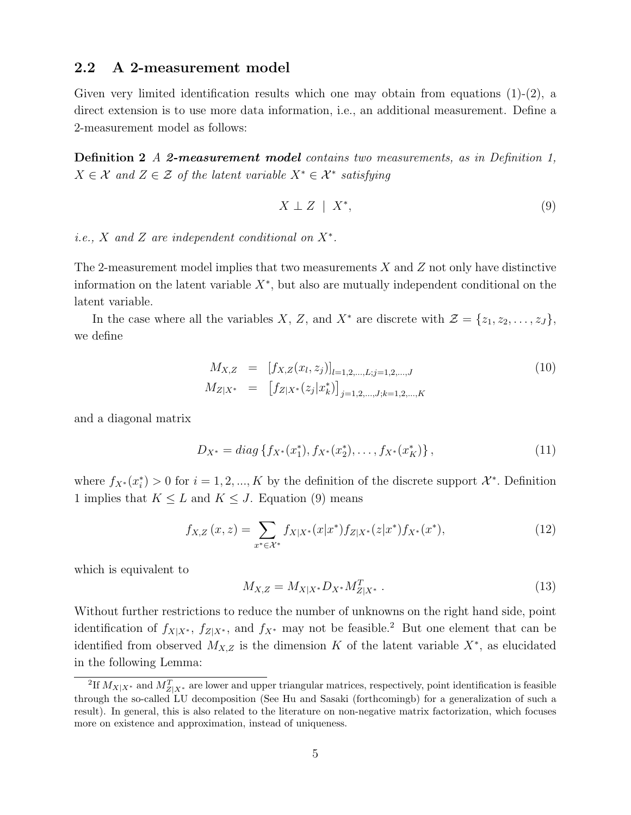## 2.2 A 2-measurement model

Given very limited identification results which one may obtain from equations  $(1)-(2)$ , a direct extension is to use more data information, i.e., an additional measurement. Define a 2-measurement model as follows:

Definition 2 A 2-measurement model contains two measurements, as in Definition 1,  $X \in \mathcal{X}$  and  $Z \in \mathcal{Z}$  of the latent variable  $X^* \in \mathcal{X}^*$  satisfying

$$
X \perp Z \mid X^*, \tag{9}
$$

i.e.,  $X$  and  $Z$  are independent conditional on  $X^*$ .

The 2-measurement model implies that two measurements  $X$  and  $Z$  not only have distinctive information on the latent variable  $X^*$ , but also are mutually independent conditional on the latent variable.

In the case where all the variables X, Z, and X<sup>\*</sup> are discrete with  $\mathcal{Z} = \{z_1, z_2, \ldots, z_J\},\$ we define

$$
M_{X,Z} = [f_{X,Z}(x_l, z_j)]_{l=1,2,\dots,L; j=1,2,\dots,J}
$$
  
\n
$$
M_{Z|X^*} = [f_{Z|X^*}(z_j|x_k^*)]_{j=1,2,\dots,J;k=1,2,\dots,K}
$$
\n(10)

and a diagonal matrix

$$
D_{X^*} = diag\{f_{X^*}(x_1^*), f_{X^*}(x_2^*), \dots, f_{X^*}(x_K^*)\},\tag{11}
$$

where  $f_{X^*}(x_i^*) > 0$  for  $i = 1, 2, ..., K$  by the definition of the discrete support  $\mathcal{X}^*$ . Definition 1 implies that  $K \leq L$  and  $K \leq J$ . Equation (9) means

$$
f_{X,Z}(x,z) = \sum_{x^* \in \mathcal{X}^*} f_{X|X^*}(x|x^*) f_{Z|X^*}(z|x^*) f_{X^*}(x^*), \tag{12}
$$

which is equivalent to

$$
M_{X,Z} = M_{X|X^*} D_{X^*} M_{Z|X^*}^T .
$$
\n(13)

Without further restrictions to reduce the number of unknowns on the right hand side, point identification of  $f_{X|X^*}$ ,  $f_{Z|X^*}$ , and  $f_{X^*}$  may not be feasible.<sup>2</sup> But one element that can be identified from observed  $M_{X,Z}$  is the dimension K of the latent variable  $X^*$ , as elucidated in the following Lemma:

<sup>&</sup>lt;sup>2</sup>If  $M_{X|X^*}$  and  $M_{Z|X^*}^T$  are lower and upper triangular matrices, respectively, point identification is feasible through the so-called LU decomposition (See Hu and Sasaki (forthcomingb) for a generalization of such a result). In general, this is also related to the literature on non-negative matrix factorization, which focuses more on existence and approximation, instead of uniqueness.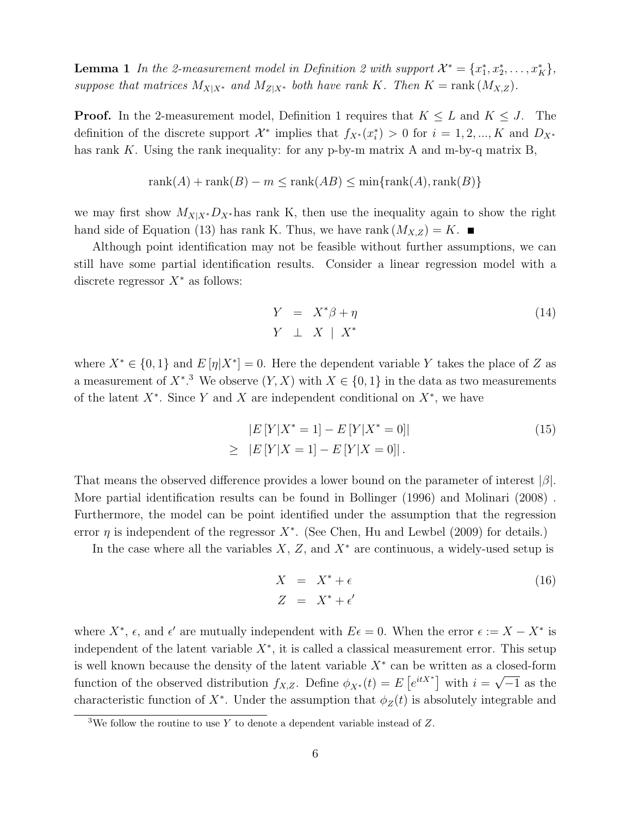**Lemma 1** In the 2-measurement model in Definition 2 with support  $\mathcal{X}^* = \{x_1^*, x_2^*, \ldots, x_K^*\},$ suppose that matrices  $M_{X|X^*}$  and  $M_{Z|X^*}$  both have rank K. Then  $K = \text{rank}(M_{X,Z})$ .

**Proof.** In the 2-measurement model, Definition 1 requires that  $K \leq L$  and  $K \leq J$ . The definition of the discrete support  $\mathcal{X}^*$  implies that  $f_{X^*}(x_i^*) > 0$  for  $i = 1, 2, ..., K$  and  $D_{X^*}$ has rank K. Using the rank inequality: for any p-by-m matrix A and m-by-q matrix B,

$$
rank(A) + rank(B) - m \le rank(AB) \le min\{rank(A), rank(B)\}\
$$

we may first show  $M_{X|X^*}D_{X^*}$  has rank K, then use the inequality again to show the right hand side of Equation (13) has rank K. Thus, we have rank  $(M_{X,Z}) = K$ .

Although point identification may not be feasible without further assumptions, we can still have some partial identification results. Consider a linear regression model with a discrete regressor  $X^*$  as follows:

$$
Y = X^*\beta + \eta
$$
  
\n
$$
Y \perp X \mid X^*
$$
\n(14)

where  $X^* \in \{0,1\}$  and  $E[\eta|X^*]=0$ . Here the dependent variable Y takes the place of Z as a measurement of  $X^*$ <sup>3</sup>. We observe  $(Y, X)$  with  $X \in \{0, 1\}$  in the data as two measurements of the latent  $X^*$ . Since Y and X are independent conditional on  $X^*$ , we have

$$
|E[Y|X^* = 1] - E[Y|X^* = 0]|
$$
  
\n
$$
\geq |E[Y|X = 1] - E[Y|X = 0]|.
$$
\n(15)

That means the observed difference provides a lower bound on the parameter of interest  $|\beta|$ . More partial identification results can be found in Bollinger (1996) and Molinari (2008) . Furthermore, the model can be point identified under the assumption that the regression error  $\eta$  is independent of the regressor  $X^*$ . (See Chen, Hu and Lewbel (2009) for details.)

In the case where all the variables  $X, Z$ , and  $X^*$  are continuous, a widely-used setup is

$$
X = X^* + \epsilon
$$
  
\n
$$
Z = X^* + \epsilon'
$$
\n(16)

where  $X^*$ ,  $\epsilon$ , and  $\epsilon'$  are mutually independent with  $E\epsilon = 0$ . When the error  $\epsilon := X - X^*$  is independent of the latent variable  $X^*$ , it is called a classical measurement error. This setup is well known because the density of the latent variable  $X^*$  can be written as a closed-form function of the observed distribution  $f_{X,Z}$ . Define  $\phi_{X^*}(t) = E\left[e^{itX^*}\right]$  with  $i =$ √  $-1$  as the characteristic function of  $X^*$ . Under the assumption that  $\phi_Z(t)$  is absolutely integrable and

<sup>&</sup>lt;sup>3</sup>We follow the routine to use Y to denote a dependent variable instead of  $Z$ .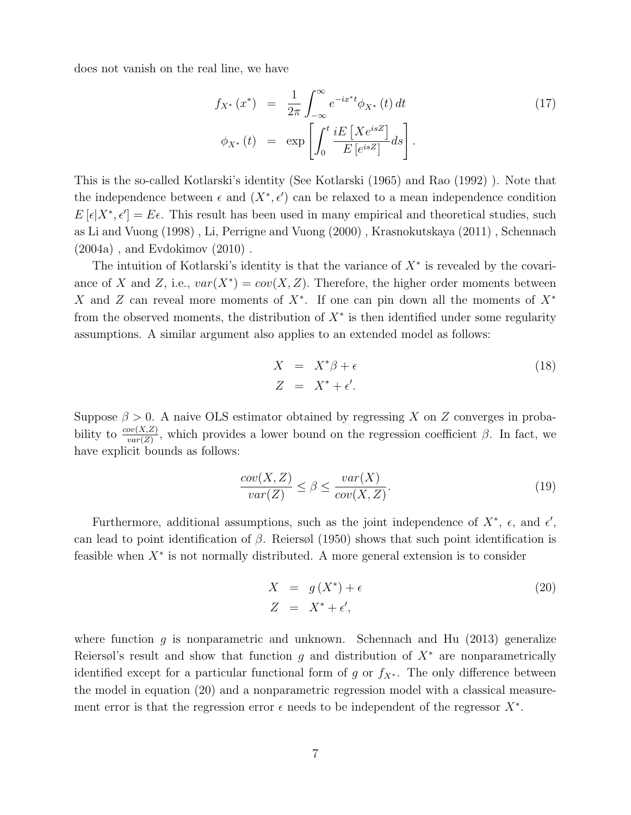does not vanish on the real line, we have

$$
f_{X^*}(x^*) = \frac{1}{2\pi} \int_{-\infty}^{\infty} e^{-ix^*t} \phi_{X^*}(t) dt
$$
  
\n
$$
\phi_{X^*}(t) = \exp\left[\int_0^t \frac{iE\left[Xe^{isZ}\right]}{E\left[e^{isZ}\right]} ds\right].
$$
\n(17)

This is the so-called Kotlarski's identity (See Kotlarski (1965) and Rao (1992) ). Note that the independence between  $\epsilon$  and  $(X^*, \epsilon')$  can be relaxed to a mean independence condition  $E[\epsilon|X^*, \epsilon'] = E\epsilon$ . This result has been used in many empirical and theoretical studies, such as Li and Vuong (1998) , Li, Perrigne and Vuong (2000) , Krasnokutskaya (2011) , Schennach (2004a) , and Evdokimov (2010) .

The intuition of Kotlarski's identity is that the variance of  $X^*$  is revealed by the covariance of X and Z, i.e.,  $var(X^*) = cov(X, Z)$ . Therefore, the higher order moments between X and Z can reveal more moments of  $X^*$ . If one can pin down all the moments of  $X^*$ from the observed moments, the distribution of  $X^*$  is then identified under some regularity assumptions. A similar argument also applies to an extended model as follows:

$$
X = X^*\beta + \epsilon
$$
  
\n
$$
Z = X^* + \epsilon'.
$$
\n(18)

Suppose  $\beta > 0$ . A naive OLS estimator obtained by regressing X on Z converges in probability to  $\frac{cov(X,Z)}{var(Z)}$ , which provides a lower bound on the regression coefficient  $\beta$ . In fact, we have explicit bounds as follows:

$$
\frac{cov(X, Z)}{var(Z)} \le \beta \le \frac{var(X)}{cov(X, Z)}.\tag{19}
$$

Furthermore, additional assumptions, such as the joint independence of  $X^*$ ,  $\epsilon$ , and  $\epsilon'$ , can lead to point identification of  $\beta$ . Reiers (1950) shows that such point identification is feasible when  $X^*$  is not normally distributed. A more general extension is to consider

$$
X = g(X^*) + \epsilon
$$
  
\n
$$
Z = X^* + \epsilon',
$$
\n(20)

where function g is nonparametric and unknown. Schennach and Hu  $(2013)$  generalize Reiersøl's result and show that function g and distribution of  $X^*$  are nonparametrically identified except for a particular functional form of g or  $f_{X^*}$ . The only difference between the model in equation (20) and a nonparametric regression model with a classical measurement error is that the regression error  $\epsilon$  needs to be independent of the regressor  $X^*$ .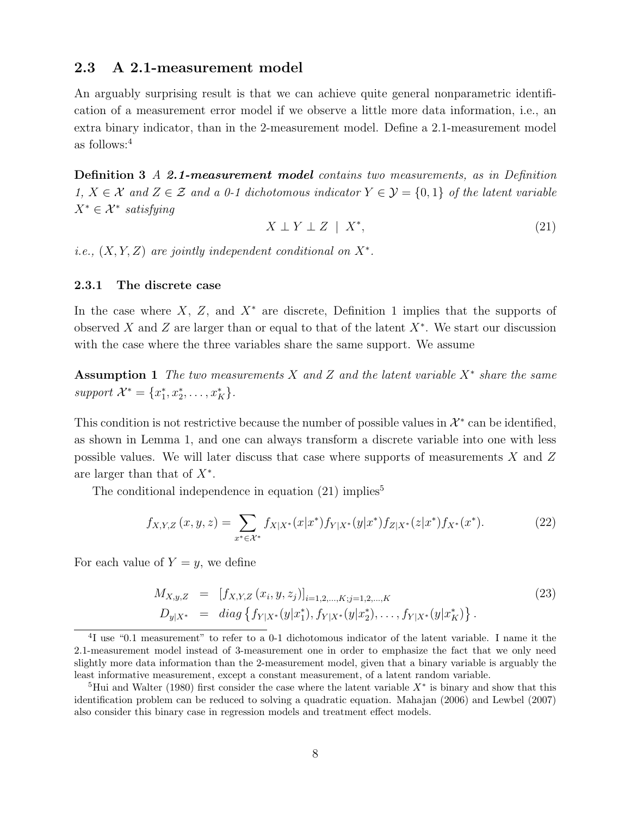## 2.3 A 2.1-measurement model

An arguably surprising result is that we can achieve quite general nonparametric identification of a measurement error model if we observe a little more data information, i.e., an extra binary indicator, than in the 2-measurement model. Define a 2.1-measurement model as follows:<sup>4</sup>

Definition 3 A 2.1-measurement model contains two measurements, as in Definition 1,  $X \in \mathcal{X}$  and  $Z \in \mathcal{Z}$  and a 0-1 dichotomous indicator  $Y \in \mathcal{Y} = \{0, 1\}$  of the latent variable  $X^* \in \mathcal{X}^*$  satisfying

$$
X \perp Y \perp Z \mid X^*, \tag{21}
$$

i.e.,  $(X, Y, Z)$  are jointly independent conditional on  $X^*$ .

#### 2.3.1 The discrete case

In the case where  $X, Z$ , and  $X^*$  are discrete, Definition 1 implies that the supports of observed X and Z are larger than or equal to that of the latent  $X^*$ . We start our discussion with the case where the three variables share the same support. We assume

Assumption 1 The two measurements X and Z and the latent variable  $X^*$  share the same support  $\mathcal{X}^* = \{x_1^*, x_2^*, \ldots, x_K^*\}.$ 

This condition is not restrictive because the number of possible values in  $\mathcal{X}^*$  can be identified, as shown in Lemma 1, and one can always transform a discrete variable into one with less possible values. We will later discuss that case where supports of measurements X and Z are larger than that of  $X^*$ .

The conditional independence in equation  $(21)$  implies<sup>5</sup>

$$
f_{X,Y,Z}(x,y,z) = \sum_{x^* \in \mathcal{X}^*} f_{X|X^*}(x|x^*) f_{Y|X^*}(y|x^*) f_{Z|X^*}(z|x^*) f_{X^*}(x^*).
$$
 (22)

For each value of  $Y = y$ , we define

$$
M_{X,y,Z} = [f_{X,Y,Z}(x_i, y, z_j)]_{i=1,2,\dots,K; j=1,2,\dots,K}
$$
  
\n
$$
D_{y|X^*} = diag\{f_{Y|X^*}(y|x_1^*), f_{Y|X^*}(y|x_2^*), \dots, f_{Y|X^*}(y|x_K^*)\}.
$$
\n(23)

<sup>&</sup>lt;sup>4</sup>I use "0.1 measurement" to refer to a 0-1 dichotomous indicator of the latent variable. I name it the 2.1-measurement model instead of 3-measurement one in order to emphasize the fact that we only need slightly more data information than the 2-measurement model, given that a binary variable is arguably the least informative measurement, except a constant measurement, of a latent random variable.

<sup>&</sup>lt;sup>5</sup>Hui and Walter (1980) first consider the case where the latent variable  $X^*$  is binary and show that this identification problem can be reduced to solving a quadratic equation. Mahajan (2006) and Lewbel (2007) also consider this binary case in regression models and treatment effect models.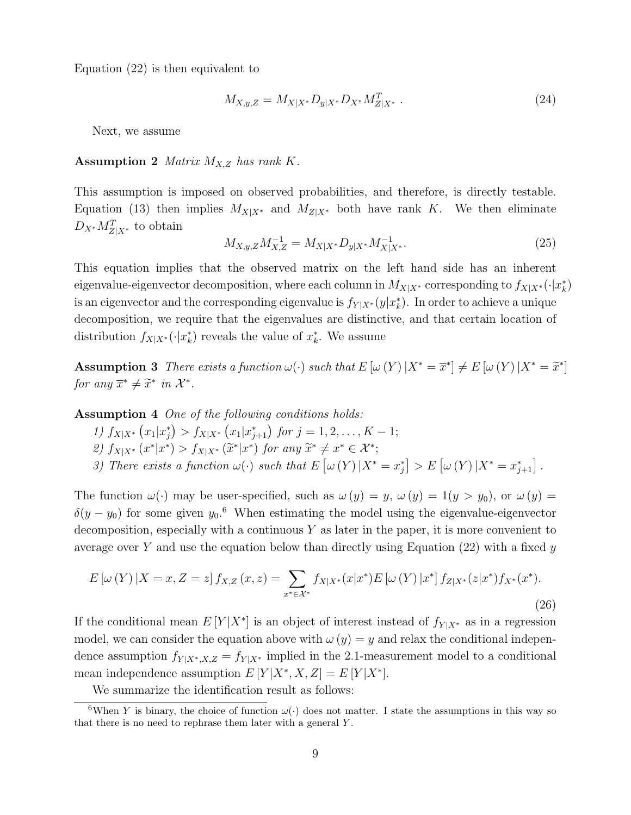Equation (22) is then equivalent to

$$
M_{X,y,Z} = M_{X|X^*} D_{y|X^*} D_{X^*} M_{Z|X^*}^T .
$$
\n(24)

Next, we assume

#### **Assumption 2** *Matrix*  $M_{X,Z}$  *has rank*  $K$ .

This assumption is imposed on observed probabilities, and therefore, is directly testable. Equation (13) then implies  $M_{X|X^*}$  and  $M_{Z|X^*}$  both have rank K. We then eliminate  $D_{X^*} M_{Z|X^*}^T$  to obtain

$$
M_{X,y,Z}M_{X,Z}^{-1} = M_{X|X^*}D_{y|X^*}M_{X|X^*}^{-1}.
$$
\n(25)

This equation implies that the observed matrix on the left hand side has an inherent eigenvalue-eigenvector decomposition, where each column in  $M_{X|X^*}$  corresponding to  $f_{X|X^*}(\cdot|x^*_k)$ is an eigenvector and the corresponding eigenvalue is  $f_{Y|X^*}(y|x^*_k)$ . In order to achieve a unique decomposition, we require that the eigenvalues are distinctive, and that certain location of distribution  $f_{X|X^*}(\cdot|x^*_{k})$  reveals the value of  $x^*_{k}$ . We assume

Assumption 3 There exists a function  $\omega(\cdot)$  such that  $E[\omega(Y)|X^* = \overline{x}^*] \neq E[\omega(Y)|X^* = \widetilde{x}^*]$ for any  $\overline{x}^* \neq \widetilde{x}^*$  in  $\mathcal{X}^*$ .

Assumption 4 One of the following conditions holds:

- 1)  $f_{X|X^*}(x_1|x_j^*) > f_{X|X^*}(x_1|x_{j+1}^*)$  for  $j = 1, 2, ..., K 1;$
- 2)  $f_{X|X^*}(x^*|x^*) > f_{X|X^*}(\tilde{x}^*|x^*)$  for any  $\tilde{x}^* \neq x^* \in \mathcal{X}^*$ ;
- 3) There exists a function  $\omega(\cdot)$  such that  $E[\omega(Y)|X^* = x_j^*] > E[\omega(Y)|X^* = x_{j+1}^*]$ .

The function  $\omega(\cdot)$  may be user-specified, such as  $\omega(y) = y$ ,  $\omega(y) = 1(y > y_0)$ , or  $\omega(y) =$  $\delta(y-y_0)$  for some given  $y_0$ .<sup>6</sup> When estimating the model using the eigenvalue-eigenvector decomposition, especially with a continuous  $Y$  as later in the paper, it is more convenient to average over Y and use the equation below than directly using Equation  $(22)$  with a fixed y

$$
E\left[\omega\left(Y\right)|X=x,Z=z\right]f_{X,Z}\left(x,z\right)=\sum_{x^*\in\mathcal{X}^*}f_{X|X^*}(x|x^*)E\left[\omega\left(Y\right)|x^*\right]f_{Z|X^*}(z|x^*)f_{X^*}(x^*).
$$
\n(26)

If the conditional mean  $E[Y|X^*]$  is an object of interest instead of  $f_{Y|X^*}$  as in a regression model, we can consider the equation above with  $\omega(y) = y$  and relax the conditional independence assumption  $f_{Y|X^*,X,Z} = f_{Y|X^*}$  implied in the 2.1-measurement model to a conditional mean independence assumption  $E[Y|X^*, X, Z] = E[Y|X^*].$ 

We summarize the identification result as follows:

<sup>&</sup>lt;sup>6</sup>When Y is binary, the choice of function  $\omega(\cdot)$  does not matter. I state the assumptions in this way so that there is no need to rephrase them later with a general Y .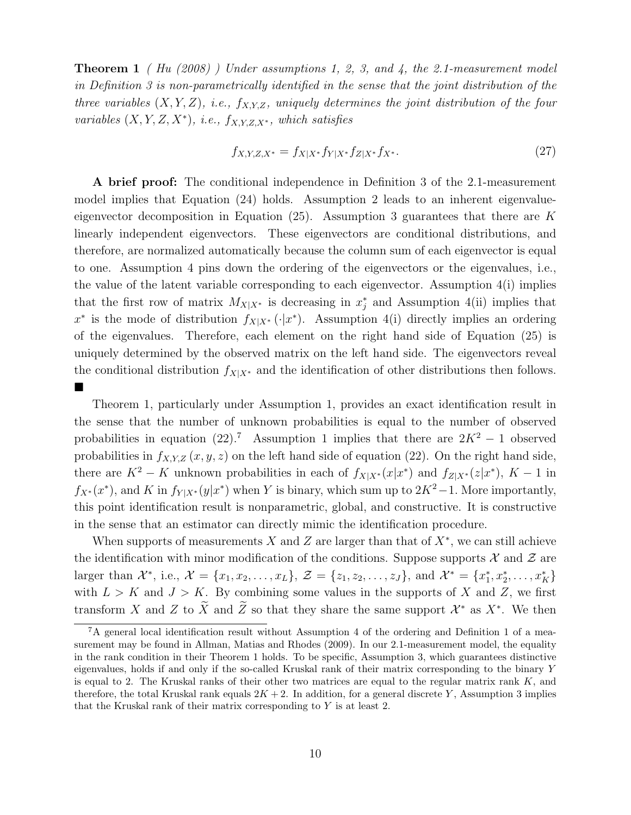**Theorem 1** (*Hu (2008)*) Under assumptions 1, 2, 3, and 4, the 2.1-measurement model in Definition 3 is non-parametrically identified in the sense that the joint distribution of the three variables  $(X, Y, Z)$ , i.e.,  $f_{X,Y,Z}$ , uniquely determines the joint distribution of the four variables  $(X, Y, Z, X^*)$ , i.e.,  $f_{X,Y,Z,X^*}$ , which satisfies

$$
f_{X,Y,Z,X^*} = f_{X|X^*} f_{Y|X^*} f_{Z|X^*} f_{X^*}.
$$
\n(27)

A brief proof: The conditional independence in Definition 3 of the 2.1-measurement model implies that Equation (24) holds. Assumption 2 leads to an inherent eigenvalueeigenvector decomposition in Equation  $(25)$ . Assumption 3 guarantees that there are K linearly independent eigenvectors. These eigenvectors are conditional distributions, and therefore, are normalized automatically because the column sum of each eigenvector is equal to one. Assumption 4 pins down the ordering of the eigenvectors or the eigenvalues, i.e., the value of the latent variable corresponding to each eigenvector. Assumption 4(i) implies that the first row of matrix  $M_{X|X^*}$  is decreasing in  $x_j^*$  and Assumption 4(ii) implies that  $x^*$  is the mode of distribution  $f_{X|X^*}(\cdot|x^*)$ . Assumption 4(i) directly implies an ordering of the eigenvalues. Therefore, each element on the right hand side of Equation (25) is uniquely determined by the observed matrix on the left hand side. The eigenvectors reveal the conditional distribution  $f_{X|X^*}$  and the identification of other distributions then follows. ■

Theorem 1, particularly under Assumption 1, provides an exact identification result in the sense that the number of unknown probabilities is equal to the number of observed probabilities in equation (22).<sup>7</sup> Assumption 1 implies that there are  $2K^2 - 1$  observed probabilities in  $f_{X,Y,Z}(x, y, z)$  on the left hand side of equation (22). On the right hand side, there are  $K^2 - K$  unknown probabilities in each of  $f_{X|X^*}(x|x^*)$  and  $f_{Z|X^*}(z|x^*)$ ,  $K - 1$  in  $f_{X^*}(x^*)$ , and K in  $f_{Y|X^*}(y|x^*)$  when Y is binary, which sum up to  $2K^2-1$ . More importantly, this point identification result is nonparametric, global, and constructive. It is constructive in the sense that an estimator can directly mimic the identification procedure.

When supports of measurements X and Z are larger than that of  $X^*$ , we can still achieve the identification with minor modification of the conditions. Suppose supports  $\mathcal X$  and  $\mathcal Z$  are larger than  $\mathcal{X}^*$ , i.e.,  $\mathcal{X} = \{x_1, x_2, \ldots, x_L\}$ ,  $\mathcal{Z} = \{z_1, z_2, \ldots, z_J\}$ , and  $\mathcal{X}^* = \{x_1^*, x_2^*, \ldots, x_K^*\}$ with  $L > K$  and  $J > K$ . By combining some values in the supports of X and Z, we first transform X and Z to  $\tilde{X}$  and  $\tilde{Z}$  so that they share the same support  $\mathcal{X}^*$  as  $X^*$ . We then

<sup>7</sup>A general local identification result without Assumption 4 of the ordering and Definition 1 of a measurement may be found in Allman, Matias and Rhodes (2009). In our 2.1-measurement model, the equality in the rank condition in their Theorem 1 holds. To be specific, Assumption 3, which guarantees distinctive eigenvalues, holds if and only if the so-called Kruskal rank of their matrix corresponding to the binary Y is equal to 2. The Kruskal ranks of their other two matrices are equal to the regular matrix rank  $K$ , and therefore, the total Kruskal rank equals  $2K + 2$ . In addition, for a general discrete Y, Assumption 3 implies that the Kruskal rank of their matrix corresponding to  $Y$  is at least 2.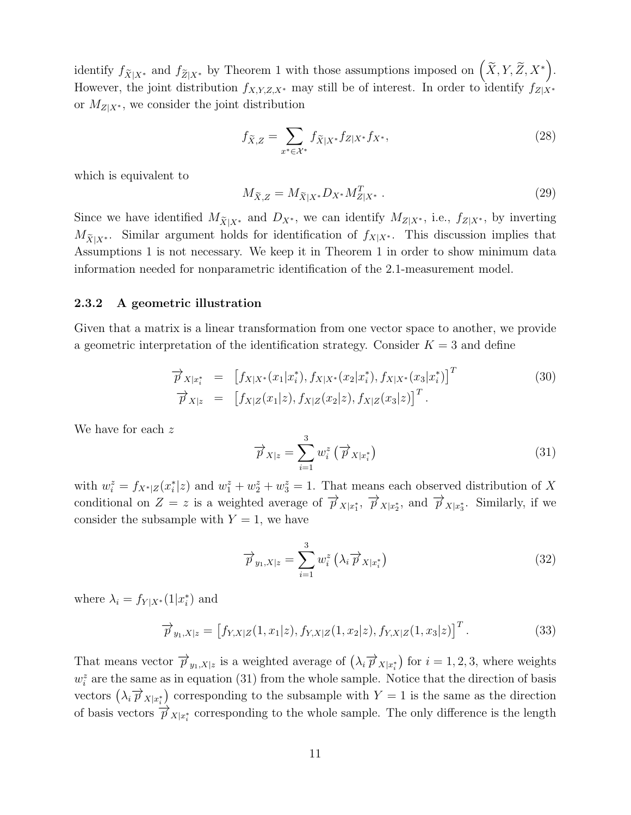identify  $f_{\widetilde{X}|X^*}$  and  $f_{\widetilde{Z}|X^*}$  by Theorem 1 with those assumptions imposed on  $(\widetilde{X}, Y, \widetilde{Z}, X^*)$ . However, the joint distribution  $f_{X,Y,Z,X^*}$  may still be of interest. In order to identify  $f_{Z|X^*}$ or  $M_{Z|X^*}$ , we consider the joint distribution

$$
f_{\tilde{X},Z} = \sum_{x^* \in \mathcal{X}^*} f_{\tilde{X}|X^*} f_{Z|X^*} f_{X^*},\tag{28}
$$

which is equivalent to

$$
M_{\tilde{X},Z} = M_{\tilde{X}|X^*} D_{X^*} M_{Z|X^*}^T .
$$
\n(29)

Since we have identified  $M_{\tilde{X}|X^*}$  and  $D_{X^*}$ , we can identify  $M_{Z|X^*}$ , i.e.,  $f_{Z|X^*}$ , by inverting  $M_{\widetilde{X}|X^*}$ . Similar argument holds for identification of  $f_{X|X^*}$ . This discussion implies that Assumptions 1 is not necessary. We keep it in Theorem 1 in order to show minimum data information needed for nonparametric identification of the 2.1-measurement model.

#### 2.3.2 A geometric illustration

Given that a matrix is a linear transformation from one vector space to another, we provide a geometric interpretation of the identification strategy. Consider  $K = 3$  and define

$$
\overrightarrow{p}_{X|x_i^*} = [f_{X|X^*}(x_1|x_i^*), f_{X|X^*}(x_2|x_i^*), f_{X|X^*}(x_3|x_i^*)]^T
$$
\n
$$
\overrightarrow{p}_{X|z} = [f_{X|Z}(x_1|z), f_{X|Z}(x_2|z), f_{X|Z}(x_3|z)]^T.
$$
\n(30)

We have for each z

$$
\overrightarrow{p}_{X|z} = \sum_{i=1}^{3} w_i^z \left( \overrightarrow{p}_{X|x_i^*} \right)
$$
 (31)

with  $w_i^z = f_{X^*|Z}(x_i^*|z)$  and  $w_1^z + w_2^z + w_3^z = 1$ . That means each observed distribution of X conditional on  $Z = z$  is a weighted average of  $\overrightarrow{p}_{X|x_1^*}, \overrightarrow{p}_{X|x_2^*}$ , and  $\overrightarrow{p}_{X|x_3^*}$ . Similarly, if we consider the subsample with  $Y = 1$ , we have

$$
\overrightarrow{p}_{y_1,X|z} = \sum_{i=1}^{3} w_i^z \left(\lambda_i \overrightarrow{p}_{X|x_i^*}\right)
$$
\n(32)

where  $\lambda_i = f_{Y|X^*}(1|x_i^*)$  and

$$
\overrightarrow{p}_{y_1,X|z} = [f_{Y,X|Z}(1,x_1|z), f_{Y,X|Z}(1,x_2|z), f_{Y,X|Z}(1,x_3|z)]^T.
$$
\n(33)

That means vector  $\overrightarrow{p}_{y_1,X|z}$  is a weighted average of  $(\lambda_i \overrightarrow{p}_{X|x_i^*})$  for  $i = 1,2,3$ , where weights  $w_i^z$  are the same as in equation (31) from the whole sample. Notice that the direction of basis vectors  $(\lambda_i \overrightarrow{p}_{X|x_i^*})$  corresponding to the subsample with  $Y = 1$  is the same as the direction of basis vectors  $\overrightarrow{p}_{X|x_i^*}$  corresponding to the whole sample. The only difference is the length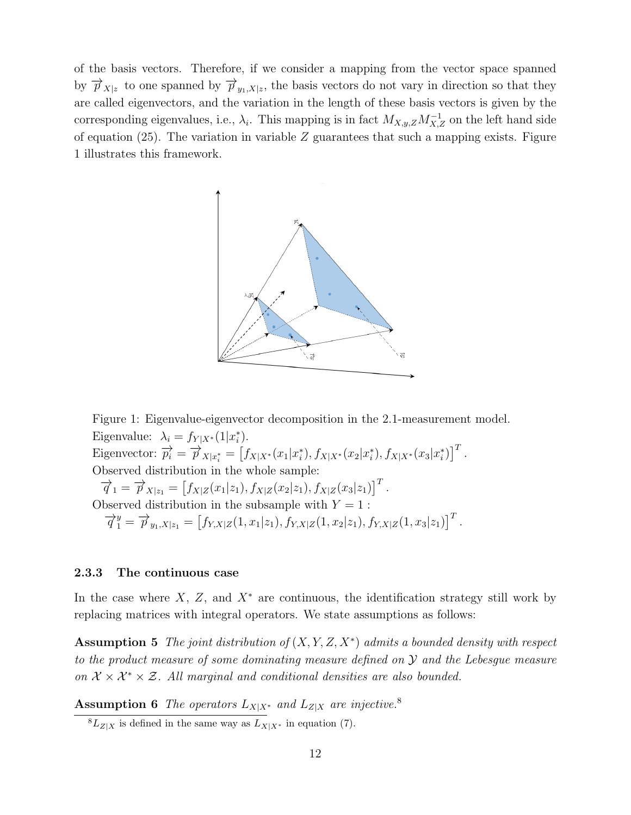of the basis vectors. Therefore, if we consider a mapping from the vector space spanned by  $\overrightarrow{p}_{X|z}$  to one spanned by  $\overrightarrow{p}_{y_1,X|z}$ , the basis vectors do not vary in direction so that they are called eigenvectors, and the variation in the length of these basis vectors is given by the corresponding eigenvalues, i.e.,  $\lambda_i$ . This mapping is in fact  $M_{X,y,Z}M_{X,Z}^{-1}$  on the left hand side of equation (25). The variation in variable  $Z$  guarantees that such a mapping exists. Figure 1 illustrates this framework.



Figure 1: Eigenvalue-eigenvector decomposition in the 2.1-measurement model. Eigenvalue:  $\lambda_i = f_{Y|X^*}(1|x_i^*)$ . Eigenvector:  $\overrightarrow{p_i} = \overrightarrow{p}_{X|x_i^*} = [f_{X|X^*}(x_1|x_i^*), f_{X|X^*}(x_2|x_i^*), f_{X|X^*}(x_3|x_i^*)]^T$ . Observed distribution in the whole sample:  $\overrightarrow{q}_1 = \overrightarrow{p}_{X|z_1} = [f_{X|Z}(x_1|z_1), f_{X|Z}(x_2|z_1), f_{X|Z}(x_3|z_1)]^T.$ Observed distribution in the subsample with  $Y = 1$ :  $\overrightarrow{q}_1^y = \overrightarrow{p}_{y_1,X|z_1} = [f_{Y,X|Z}(1,x_1|z_1), f_{Y,X|Z}(1,x_2|z_1), f_{Y,X|Z}(1,x_3|z_1)]^T$ .

#### 2.3.3 The continuous case

In the case where  $X, Z$ , and  $X^*$  are continuous, the identification strategy still work by replacing matrices with integral operators. We state assumptions as follows:

**Assumption 5** The joint distribution of  $(X, Y, Z, X^*)$  admits a bounded density with respect to the product measure of some dominating measure defined on  $\mathcal Y$  and the Lebesgue measure on  $\mathcal{X} \times \mathcal{X}^* \times \mathcal{Z}$ . All marginal and conditional densities are also bounded.

**Assumption 6** The operators  $L_{X|X^*}$  and  $L_{Z|X}$  are injective.<sup>8</sup>

 ${}^{8}L_{Z|X}$  is defined in the same way as  $L_{X|X^*}$  in equation (7).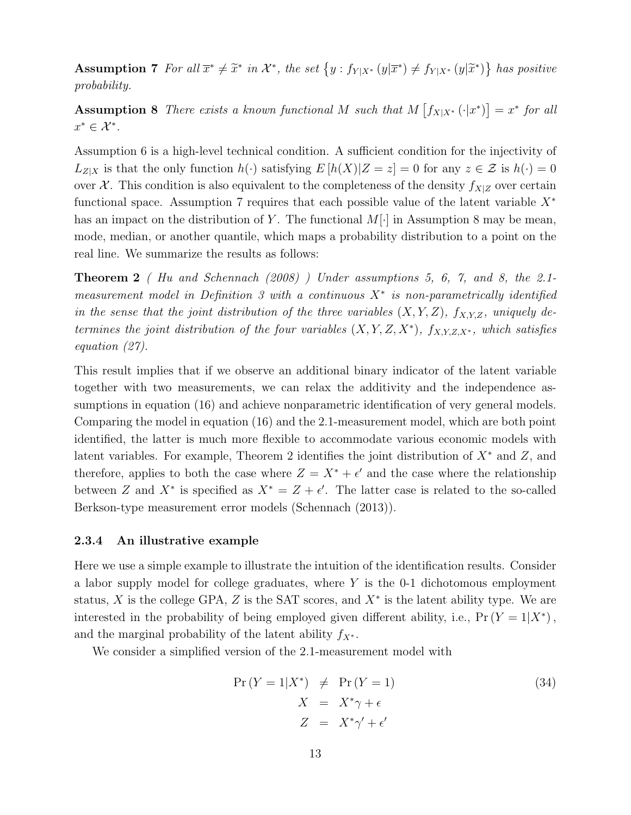Assumption 7 For all  $\overline{x}^* \neq \tilde{x}^*$  in  $\mathcal{X}^*$ , the set  $\{y : f_{Y|X^*}(y|\overline{x}^*) \neq f_{Y|X^*}(y|\widetilde{x}^*)\}$  has positive probability.

**Assumption 8** There exists a known functional M such that  $M[f_{X|X^*}(\cdot|x^*)]=x^*$  for all  $x^* \in \mathcal{X}^*$ .

Assumption 6 is a high-level technical condition. A sufficient condition for the injectivity of  $L_{Z|X}$  is that the only function  $h(\cdot)$  satisfying  $E[h(X)|Z=z] = 0$  for any  $z \in \mathcal{Z}$  is  $h(\cdot) = 0$ over X. This condition is also equivalent to the completeness of the density  $f_{X|Z}$  over certain functional space. Assumption 7 requires that each possible value of the latent variable  $X^*$ has an impact on the distribution of Y. The functional  $M[\cdot]$  in Assumption 8 may be mean, mode, median, or another quantile, which maps a probability distribution to a point on the real line. We summarize the results as follows:

**Theorem 2** (Hu and Schennach  $(2008)$ ) Under assumptions 5, 6, 7, and 8, the 2.1measurement model in Definition 3 with a continuous  $X^*$  is non-parametrically identified in the sense that the joint distribution of the three variables  $(X, Y, Z)$ ,  $f_{X,Y,Z}$ , uniquely determines the joint distribution of the four variables  $(X, Y, Z, X^*)$ ,  $f_{X,Y,Z,X^*}$ , which satisfies equation (27).

This result implies that if we observe an additional binary indicator of the latent variable together with two measurements, we can relax the additivity and the independence assumptions in equation (16) and achieve nonparametric identification of very general models. Comparing the model in equation (16) and the 2.1-measurement model, which are both point identified, the latter is much more flexible to accommodate various economic models with latent variables. For example, Theorem 2 identifies the joint distribution of  $X^*$  and Z, and therefore, applies to both the case where  $Z = X^* + \epsilon'$  and the case where the relationship between Z and  $X^*$  is specified as  $X^* = Z + \epsilon'$ . The latter case is related to the so-called Berkson-type measurement error models (Schennach (2013)).

#### 2.3.4 An illustrative example

Here we use a simple example to illustrate the intuition of the identification results. Consider a labor supply model for college graduates, where  $Y$  is the 0-1 dichotomous employment status, X is the college GPA, Z is the SAT scores, and  $X^*$  is the latent ability type. We are interested in the probability of being employed given different ability, i.e.,  $Pr(Y = 1|X^*)$ , and the marginal probability of the latent ability  $f_{X^*}$ .

We consider a simplified version of the 2.1-measurement model with

$$
Pr(Y = 1|X^*) \neq Pr(Y = 1)
$$
  
\n
$$
X = X^*\gamma + \epsilon
$$
  
\n
$$
Z = X^*\gamma' + \epsilon'
$$
\n(34)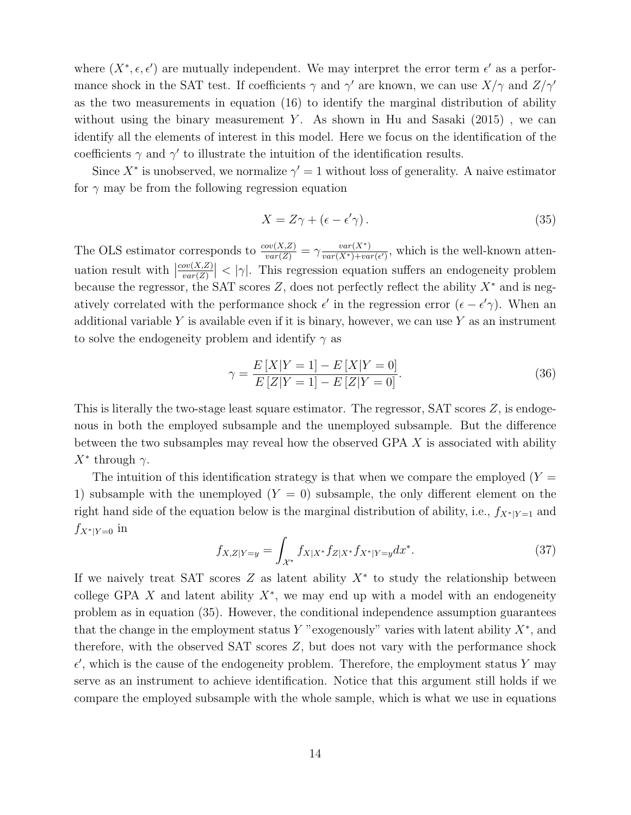where  $(X^*, \epsilon, \epsilon')$  are mutually independent. We may interpret the error term  $\epsilon'$  as a performance shock in the SAT test. If coefficients  $\gamma$  and  $\gamma'$  are known, we can use  $X/\gamma$  and  $Z/\gamma'$ as the two measurements in equation (16) to identify the marginal distribution of ability without using the binary measurement Y. As shown in Hu and Sasaki  $(2015)$ , we can identify all the elements of interest in this model. Here we focus on the identification of the coefficients  $\gamma$  and  $\gamma'$  to illustrate the intuition of the identification results.

Since  $X^*$  is unobserved, we normalize  $\gamma' = 1$  without loss of generality. A naive estimator for  $\gamma$  may be from the following regression equation

$$
X = Z\gamma + (\epsilon - \epsilon'\gamma). \tag{35}
$$

The OLS estimator corresponds to  $\frac{cov(X,Z)}{var(Z)} = \gamma \frac{var(X^*)}{var(X^*)+va}$  $\frac{var(X^*)}{var(X^*)+var(\epsilon')}$ , which is the well-known attenuation result with  $\vert$  $cov(X,Z)$  $\frac{\partial v(X,Z)}{\partial u(x)}$  < | $\gamma$ |. This regression equation suffers an endogeneity problem because the regressor, the SAT scores Z, does not perfectly reflect the ability  $X^*$  and is negatively correlated with the performance shock  $\epsilon'$  in the regression error  $(\epsilon - \epsilon' \gamma)$ . When an additional variable Y is available even if it is binary, however, we can use Y as an instrument to solve the endogeneity problem and identify  $\gamma$  as

$$
\gamma = \frac{E[X|Y=1] - E[X|Y=0]}{E[Z|Y=1] - E[Z|Y=0]}.
$$
\n(36)

This is literally the two-stage least square estimator. The regressor,  $SAT$  scores  $Z$ , is endogenous in both the employed subsample and the unemployed subsample. But the difference between the two subsamples may reveal how the observed GPA X is associated with ability  $X^*$  through  $\gamma$ .

The intuition of this identification strategy is that when we compare the employed  $(Y =$ 1) subsample with the unemployed  $(Y = 0)$  subsample, the only different element on the right hand side of the equation below is the marginal distribution of ability, i.e.,  $f_{X^*|Y=1}$  and  $f_{X^*|Y=0}$  in

$$
f_{X,Z|Y=y} = \int_{\mathcal{X}^*} f_{X|X^*} f_{Z|X^*} f_{X^*|Y=y} dx^*.
$$
 (37)

If we naively treat SAT scores  $Z$  as latent ability  $X^*$  to study the relationship between college GPA  $X$  and latent ability  $X^*$ , we may end up with a model with an endogeneity problem as in equation (35). However, the conditional independence assumption guarantees that the change in the employment status Y "exogenously" varies with latent ability  $X^*$ , and therefore, with the observed SAT scores Z, but does not vary with the performance shock  $\epsilon'$ , which is the cause of the endogeneity problem. Therefore, the employment status Y may serve as an instrument to achieve identification. Notice that this argument still holds if we compare the employed subsample with the whole sample, which is what we use in equations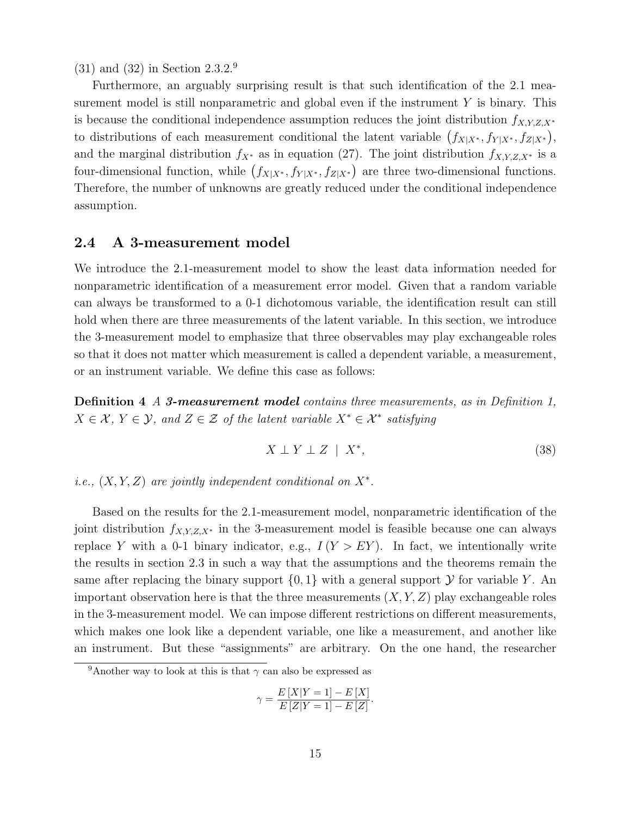(31) and (32) in Section 2.3.2.<sup>9</sup>

Furthermore, an arguably surprising result is that such identification of the 2.1 measurement model is still nonparametric and global even if the instrument  $Y$  is binary. This is because the conditional independence assumption reduces the joint distribution  $f_{X,Y,Z,X^*}$ to distributions of each measurement conditional the latent variable  $(f_{X|X^*}, f_{Y|X^*}, f_{Z|X^*}),$ and the marginal distribution  $f_{X^*}$  as in equation (27). The joint distribution  $f_{X,Y,Z,X^*}$  is a four-dimensional function, while  $(f_{X|X^*}, f_{Y|X^*}, f_{Z|X^*})$  are three two-dimensional functions. Therefore, the number of unknowns are greatly reduced under the conditional independence assumption.

## 2.4 A 3-measurement model

We introduce the 2.1-measurement model to show the least data information needed for nonparametric identification of a measurement error model. Given that a random variable can always be transformed to a 0-1 dichotomous variable, the identification result can still hold when there are three measurements of the latent variable. In this section, we introduce the 3-measurement model to emphasize that three observables may play exchangeable roles so that it does not matter which measurement is called a dependent variable, a measurement, or an instrument variable. We define this case as follows:

Definition 4 A 3-measurement model contains three measurements, as in Definition 1,  $X \in \mathcal{X}, Y \in \mathcal{Y},$  and  $Z \in \mathcal{Z}$  of the latent variable  $X^* \in \mathcal{X}^*$  satisfying

$$
X \perp Y \perp Z \mid X^*, \tag{38}
$$

i.e.,  $(X, Y, Z)$  are jointly independent conditional on  $X^*$ .

Based on the results for the 2.1-measurement model, nonparametric identification of the joint distribution  $f_{X,Y,Z,X^*}$  in the 3-measurement model is feasible because one can always replace Y with a 0-1 binary indicator, e.g.,  $I(Y > EY)$ . In fact, we intentionally write the results in section 2.3 in such a way that the assumptions and the theorems remain the same after replacing the binary support  $\{0, 1\}$  with a general support  $\mathcal Y$  for variable Y. An important observation here is that the three measurements  $(X, Y, Z)$  play exchangeable roles in the 3-measurement model. We can impose different restrictions on different measurements, which makes one look like a dependent variable, one like a measurement, and another like an instrument. But these "assignments" are arbitrary. On the one hand, the researcher

$$
\gamma = \frac{E[X|Y=1] - E[X]}{E[Z|Y=1] - E[Z]}.
$$

<sup>&</sup>lt;sup>9</sup>Another way to look at this is that  $\gamma$  can also be expressed as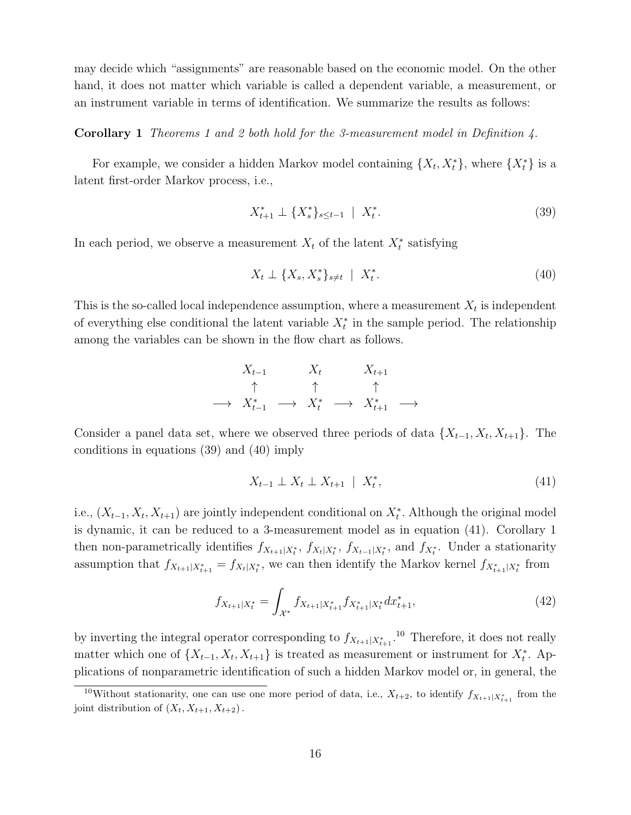may decide which "assignments" are reasonable based on the economic model. On the other hand, it does not matter which variable is called a dependent variable, a measurement, or an instrument variable in terms of identification. We summarize the results as follows:

#### Corollary 1 Theorems 1 and 2 both hold for the 3-measurement model in Definition 4.

For example, we consider a hidden Markov model containing  $\{X_t, X_t^*\}$ , where  $\{X_t^*\}$  is a latent first-order Markov process, i.e.,

$$
X_{t+1}^* \perp \{X_s^*\}_{s \le t-1} \mid X_t^*.
$$
\n(39)

In each period, we observe a measurement  $X_t$  of the latent  $X_t^*$  satisfying

$$
X_t \perp \{X_s, X_s^*\}_{s \neq t} \mid X_t^*.
$$
\n
$$
(40)
$$

This is the so-called local independence assumption, where a measurement  $X_t$  is independent of everything else conditional the latent variable  $X_t^*$  in the sample period. The relationship among the variables can be shown in the flow chart as follows.

$$
X_{t-1} \qquad X_t \qquad X_{t+1} \qquad \uparrow \qquad \uparrow \qquad \uparrow
$$
\n
$$
\rightarrow X_{t-1}^* \qquad \rightarrow X_t^* \qquad \rightarrow X_{t+1}^* \qquad \rightarrow
$$

Consider a panel data set, where we observed three periods of data  $\{X_{t-1}, X_t, X_{t+1}\}\$ . The conditions in equations (39) and (40) imply

$$
X_{t-1} \perp X_t \perp X_{t+1} \mid X_t^*, \tag{41}
$$

i.e.,  $(X_{t-1}, X_t, X_{t+1})$  are jointly independent conditional on  $X_t^*$ . Although the original model is dynamic, it can be reduced to a 3-measurement model as in equation (41). Corollary 1 then non-parametrically identifies  $f_{X_{t+1}|X_t^*}$ ,  $f_{X_t|X_t^*}$ ,  $f_{X_{t-1}|X_t^*}$ , and  $f_{X_t^*}$ . Under a stationarity assumption that  $f_{X_{t+1}|X_{t+1}^*} = f_{X_t|X_t^*}$ , we can then identify the Markov kernel  $f_{X_{t+1}^*|X_t^*}$  from

$$
f_{X_{t+1}|X_t^*} = \int_{\mathcal{X}^*} f_{X_{t+1}|X_{t+1}^*} f_{X_{t+1}^*|X_t^*} dx_{t+1}^*,
$$
\n(42)

by inverting the integral operator corresponding to  $f_{X_{t+1}|X_{t+1}^*}$ .<sup>10</sup> Therefore, it does not really matter which one of  $\{X_{t-1}, X_t, X_{t+1}\}\$ is treated as measurement or instrument for  $X_t^*$ . Applications of nonparametric identification of such a hidden Markov model or, in general, the

<sup>&</sup>lt;sup>10</sup>Without stationarity, one can use one more period of data, i.e.,  $X_{t+2}$ , to identify  $f_{X_{t+1}|X_{t+1}^*}$  from the joint distribution of  $(X_t, X_{t+1}, X_{t+2})$ .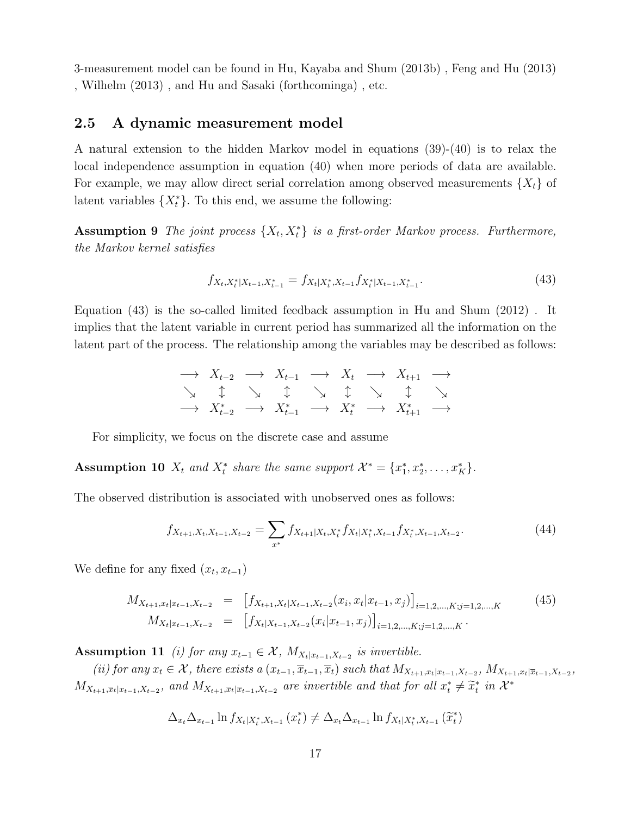3-measurement model can be found in Hu, Kayaba and Shum (2013b) , Feng and Hu (2013) , Wilhelm (2013) , and Hu and Sasaki (forthcominga) , etc.

## 2.5 A dynamic measurement model

A natural extension to the hidden Markov model in equations (39)-(40) is to relax the local independence assumption in equation (40) when more periods of data are available. For example, we may allow direct serial correlation among observed measurements  $\{X_t\}$  of latent variables  $\{X_t^*\}$ . To this end, we assume the following:

**Assumption 9** The joint process  $\{X_t, X_t^*\}$  is a first-order Markov process. Furthermore, the Markov kernel satisfies

$$
f_{X_t, X_t^*|X_{t-1}, X_{t-1}^*} = f_{X_t|X_t^*, X_{t-1}} f_{X_t^*|X_{t-1}, X_{t-1}^*}.
$$
\n(43)

Equation (43) is the so-called limited feedback assumption in Hu and Shum (2012) . It implies that the latent variable in current period has summarized all the information on the latent part of the process. The relationship among the variables may be described as follows:

$$
\begin{array}{ccl}\n\longrightarrow & X_{t-2} & \longrightarrow & X_{t-1} & \longrightarrow & X_t & \longrightarrow & X_{t+1} & \longrightarrow \\
\searrow & \updownarrow & \searrow & \updownarrow & \searrow & \updownarrow & \searrow & \updownarrow \\
\longrightarrow & X_{t-2}^* & \longrightarrow & X_{t-1}^* & \longrightarrow & X_t^* & \longrightarrow & X_{t+1}^* & \longrightarrow\n\end{array}
$$

For simplicity, we focus on the discrete case and assume

Assumption 10  $X_t$  and  $X_t^*$  share the same support  $\mathcal{X}^* = \{x_1^*, x_2^*, \ldots, x_K^*\}.$ 

The observed distribution is associated with unobserved ones as follows:

$$
f_{X_{t+1},X_t,X_{t-1},X_{t-2}} = \sum_{x^*} f_{X_{t+1}|X_t,X_t^*} f_{X_t|X_t^*,X_{t-1}} f_{X_t^*,X_{t-1},X_{t-2}}.\tag{44}
$$

We define for any fixed  $(x_t, x_{t-1})$ 

$$
M_{X_{t+1},x_t|x_{t-1},X_{t-2}} = [f_{X_{t+1},X_t|X_{t-1},X_{t-2}}(x_i,x_t|x_{t-1},x_j)]_{i=1,2,\ldots,K; j=1,2,\ldots,K}
$$
(45)  

$$
M_{X_t|x_{t-1},X_{t-2}} = [f_{X_t|X_{t-1},X_{t-2}}(x_i|x_{t-1},x_j)]_{i=1,2,\ldots,K; j=1,2,\ldots,K}.
$$

Assumption 11 (i) for any  $x_{t-1} \in \mathcal{X}$ ,  $M_{X_t|x_{t-1},X_{t-2}}$  is invertible.

(ii) for any  $x_t \in \mathcal{X}$ , there exists a  $(x_{t-1}, \overline{x}_{t-1}, \overline{x}_t)$  such that  $M_{X_{t+1}, x_t | x_{t-1}, X_{t-2}}$ ,  $M_{X_{t+1}, x_t | \overline{x}_{t-1}, X_{t-2}}$ ,  $M_{X_{t+1},\overline{x}_t|x_{t-1},X_{t-2}},$  and  $M_{X_{t+1},\overline{x}_t|\overline{x}_{t-1},X_{t-2}}$  are invertible and that for all  $x_t^* \neq \widetilde{x}_t^*$  in  $\mathcal{X}^*$ 

$$
\Delta_{x_t} \Delta_{x_{t-1}} \ln f_{X_t|X_t^*, X_{t-1}}(x_t^*) \neq \Delta_{x_t} \Delta_{x_{t-1}} \ln f_{X_t|X_t^*, X_{t-1}}(\tilde{x}_t^*)
$$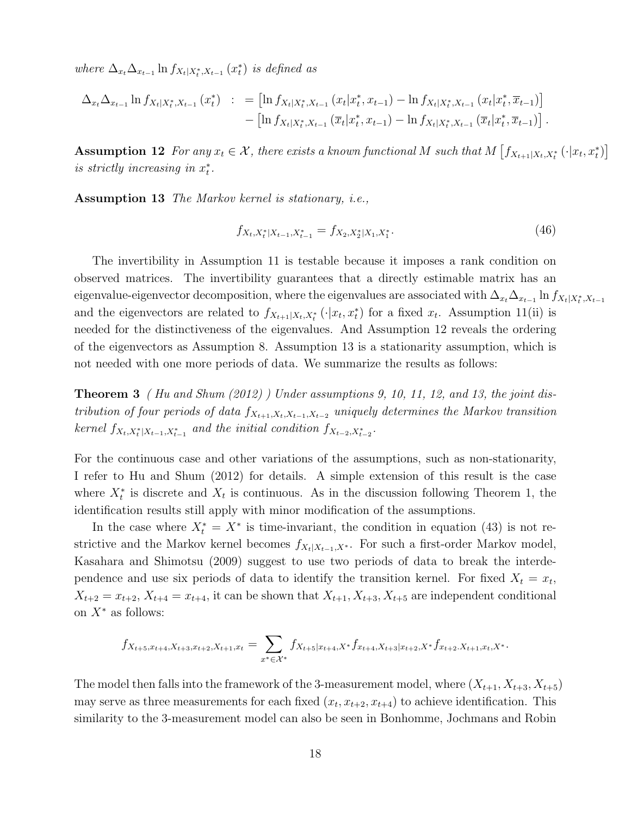where  $\Delta_{x_t} \Delta_{x_{t-1}} \ln f_{X_t|X_t^*,X_{t-1}}(x_t^*)$  is defined as

$$
\Delta_{x_t} \Delta_{x_{t-1}} \ln f_{X_t|X_t^*, X_{t-1}}(x_t^*) \; : \; = \left[ \ln f_{X_t|X_t^*, X_{t-1}}(x_t|x_t^*, x_{t-1}) - \ln f_{X_t|X_t^*, X_{t-1}}(x_t|x_t^*, \overline{x}_{t-1}) \right] \\ - \left[ \ln f_{X_t|X_t^*, X_{t-1}}(\overline{x}_t|x_t^*, x_{t-1}) - \ln f_{X_t|X_t^*, X_{t-1}}(\overline{x}_t|x_t^*, \overline{x}_{t-1}) \right].
$$

**Assumption 12** For any  $x_t \in \mathcal{X}$ , there exists a known functional M such that  $M\left[f_{X_{t+1}|X_t,X_t^*}(\cdot|x_t,x_t^*)\right]$ is strictly increasing in  $x_t^*$ .

Assumption 13 The Markov kernel is stationary, i.e.,

$$
f_{X_t, X_t^*|X_{t-1}, X_{t-1}^*} = f_{X_2, X_2^*|X_1, X_1^*}.
$$
\n(46)

The invertibility in Assumption 11 is testable because it imposes a rank condition on observed matrices. The invertibility guarantees that a directly estimable matrix has an eigenvalue-eigenvector decomposition, where the eigenvalues are associated with  $\Delta_{x_t}\Delta_{x_{t-1}}\ln f_{X_t|X_t^*,X_{t-1}}$ and the eigenvectors are related to  $f_{X_{t+1}|X_t,X_t^*}(\cdot|x_t,x_t^*)$  for a fixed  $x_t$ . Assumption 11(ii) is needed for the distinctiveness of the eigenvalues. And Assumption 12 reveals the ordering of the eigenvectors as Assumption 8. Assumption 13 is a stationarity assumption, which is not needed with one more periods of data. We summarize the results as follows:

**Theorem 3** (Hu and Shum  $(2012)$ ) Under assumptions 9, 10, 11, 12, and 13, the joint distribution of four periods of data  $f_{X_{t+1},X_t,X_{t-1},X_{t-2}}$  uniquely determines the Markov transition kernel  $f_{X_t, X_t^*|X_{t-1}, X_{t-1}^*}$  and the initial condition  $f_{X_{t-2}, X_{t-2}^*}.$ 

For the continuous case and other variations of the assumptions, such as non-stationarity, I refer to Hu and Shum (2012) for details. A simple extension of this result is the case where  $X_t^*$  is discrete and  $X_t$  is continuous. As in the discussion following Theorem 1, the identification results still apply with minor modification of the assumptions.

In the case where  $X_t^* = X^*$  is time-invariant, the condition in equation (43) is not restrictive and the Markov kernel becomes  $f_{X_t|X_{t-1},X^*}$ . For such a first-order Markov model, Kasahara and Shimotsu (2009) suggest to use two periods of data to break the interdependence and use six periods of data to identify the transition kernel. For fixed  $X_t = x_t$ ,  $X_{t+2} = x_{t+2}, X_{t+4} = x_{t+4}$ , it can be shown that  $X_{t+1}, X_{t+3}, X_{t+5}$  are independent conditional on  $X^*$  as follows:

$$
f_{X_{t+5},x_{t+4},X_{t+3},x_{t+2},X_{t+1},x_t} = \sum_{x^* \in \mathcal{X}^*} f_{X_{t+5}|x_{t+4},X^*} f_{x_{t+4},X_{t+3}|x_{t+2},X^*} f_{x_{t+2},X_{t+1},x_t,X^*}.
$$

The model then falls into the framework of the 3-measurement model, where  $(X_{t+1}, X_{t+3}, X_{t+5})$ may serve as three measurements for each fixed  $(x_t, x_{t+2}, x_{t+4})$  to achieve identification. This similarity to the 3-measurement model can also be seen in Bonhomme, Jochmans and Robin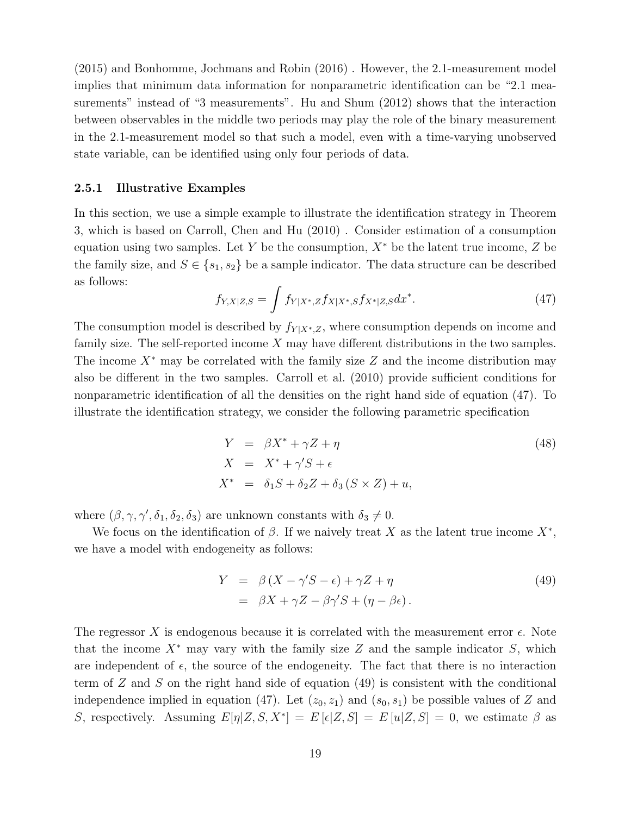(2015) and Bonhomme, Jochmans and Robin (2016) . However, the 2.1-measurement model implies that minimum data information for nonparametric identification can be "2.1 measurements" instead of "3 measurements". Hu and Shum (2012) shows that the interaction between observables in the middle two periods may play the role of the binary measurement in the 2.1-measurement model so that such a model, even with a time-varying unobserved state variable, can be identified using only four periods of data.

#### 2.5.1 Illustrative Examples

In this section, we use a simple example to illustrate the identification strategy in Theorem 3, which is based on Carroll, Chen and Hu (2010) . Consider estimation of a consumption equation using two samples. Let Y be the consumption,  $X^*$  be the latent true income, Z be the family size, and  $S \in \{s_1, s_2\}$  be a sample indicator. The data structure can be described as follows:

$$
f_{Y,X|Z,S} = \int f_{Y|X^*,Z} f_{X|X^*,S} f_{X^*|Z,S} dx^*.
$$
 (47)

The consumption model is described by  $f_{Y|X^*,Z}$ , where consumption depends on income and family size. The self-reported income X may have different distributions in the two samples. The income  $X^*$  may be correlated with the family size Z and the income distribution may also be different in the two samples. Carroll et al. (2010) provide sufficient conditions for nonparametric identification of all the densities on the right hand side of equation (47). To illustrate the identification strategy, we consider the following parametric specification

$$
Y = \beta X^* + \gamma Z + \eta
$$
  
\n
$$
X = X^* + \gamma' S + \epsilon
$$
  
\n
$$
X^* = \delta_1 S + \delta_2 Z + \delta_3 (S \times Z) + u,
$$
\n(48)

where  $(\beta, \gamma, \gamma', \delta_1, \delta_2, \delta_3)$  are unknown constants with  $\delta_3 \neq 0$ .

 $\mathcal{I}_{\mathcal{A}}$ 

We focus on the identification of  $\beta$ . If we naively treat X as the latent true income  $X^*$ , we have a model with endogeneity as follows:

$$
Y = \beta (X - \gamma' S - \epsilon) + \gamma Z + \eta
$$
  
=  $\beta X + \gamma Z - \beta \gamma' S + (\eta - \beta \epsilon)$ . (49)

The regressor X is endogenous because it is correlated with the measurement error  $\epsilon$ . Note that the income  $X^*$  may vary with the family size Z and the sample indicator S, which are independent of  $\epsilon$ , the source of the endogeneity. The fact that there is no interaction term of  $Z$  and  $S$  on the right hand side of equation  $(49)$  is consistent with the conditional independence implied in equation (47). Let  $(z_0, z_1)$  and  $(s_0, s_1)$  be possible values of Z and S, respectively. Assuming  $E[\eta|Z, S, X^*] = E[\epsilon|Z, S] = E[u|Z, S] = 0$ , we estimate  $\beta$  as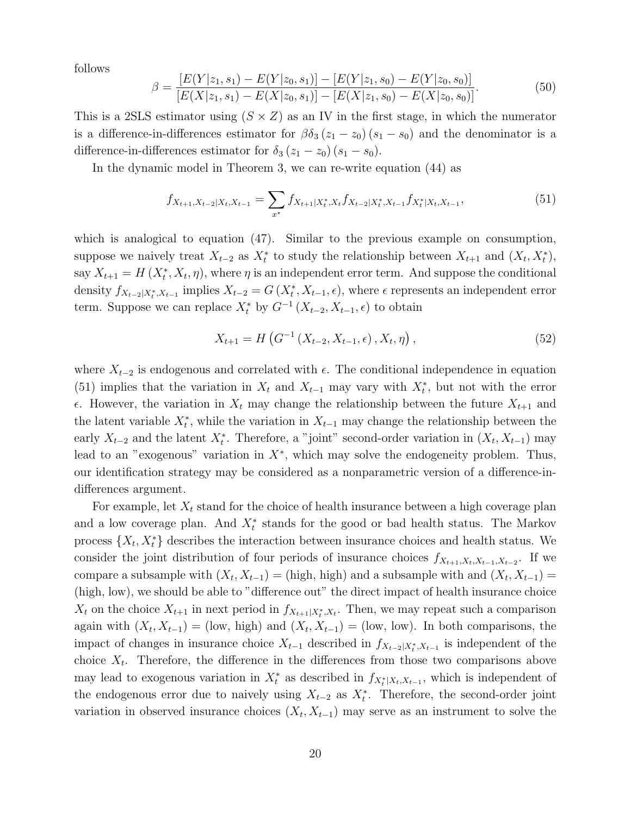follows

$$
\beta = \frac{[E(Y|z_1, s_1) - E(Y|z_0, s_1)] - [E(Y|z_1, s_0) - E(Y|z_0, s_0)]}{[E(X|z_1, s_1) - E(X|z_0, s_1)] - [E(X|z_1, s_0) - E(X|z_0, s_0)]}.
$$
\n(50)

This is a 2SLS estimator using  $(S \times Z)$  as an IV in the first stage, in which the numerator is a difference-in-differences estimator for  $\beta \delta_3 (z_1 - z_0) (s_1 - s_0)$  and the denominator is a difference-in-differences estimator for  $\delta_3 (z_1 - z_0) (s_1 - s_0)$ .

In the dynamic model in Theorem 3, we can re-write equation (44) as

$$
f_{X_{t+1},X_{t-2}|X_t,X_{t-1}} = \sum_{x^*} f_{X_{t+1}|X_t^*,X_t} f_{X_{t-2}|X_t^*,X_{t-1}} f_{X_t^*|X_t,X_{t-1}},
$$
\n(51)

which is analogical to equation (47). Similar to the previous example on consumption, suppose we naively treat  $X_{t-2}$  as  $X_t^*$  to study the relationship between  $X_{t+1}$  and  $(X_t, X_t^*)$ , say  $X_{t+1} = H(X_t^*, X_t, \eta)$ , where  $\eta$  is an independent error term. And suppose the conditional density  $f_{X_{t-2}|X_t^*,X_{t-1}}$  implies  $X_{t-2} = G(X_t^*,X_{t-1},\epsilon)$ , where  $\epsilon$  represents an independent error term. Suppose we can replace  $X_t^*$  by  $G^{-1}(X_{t-2}, X_{t-1}, \epsilon)$  to obtain

$$
X_{t+1} = H\left(G^{-1}\left(X_{t-2}, X_{t-1}, \epsilon\right), X_t, \eta\right),\tag{52}
$$

where  $X_{t-2}$  is endogenous and correlated with  $\epsilon$ . The conditional independence in equation (51) implies that the variation in  $X_t$  and  $X_{t-1}$  may vary with  $X_t^*$ , but not with the error  $\epsilon$ . However, the variation in  $X_t$  may change the relationship between the future  $X_{t+1}$  and the latent variable  $X_t^*$ , while the variation in  $X_{t-1}$  may change the relationship between the early  $X_{t-2}$  and the latent  $X_t^*$ . Therefore, a "joint" second-order variation in  $(X_t, X_{t-1})$  may lead to an "exogenous" variation in  $X^*$ , which may solve the endogeneity problem. Thus, our identification strategy may be considered as a nonparametric version of a difference-indifferences argument.

For example, let  $X_t$  stand for the choice of health insurance between a high coverage plan and a low coverage plan. And  $X_t^*$  stands for the good or bad health status. The Markov process  $\{X_t, X_t^*\}$  describes the interaction between insurance choices and health status. We consider the joint distribution of four periods of insurance choices  $f_{X_{t+1},X_t,X_{t-1},X_{t-2}}$ . If we compare a subsample with  $(X_t, X_{t-1}) =$  (high, high) and a subsample with and  $(X_t, X_{t-1}) =$ (high, low), we should be able to "difference out" the direct impact of health insurance choice  $X_t$  on the choice  $X_{t+1}$  in next period in  $f_{X_{t+1}|X_t^*,X_t}$ . Then, we may repeat such a comparison again with  $(X_t, X_{t-1}) =$  (low, high) and  $(X_t, X_{t-1}) =$  (low, low). In both comparisons, the impact of changes in insurance choice  $X_{t-1}$  described in  $f_{X_{t-2}|X_t^*,X_{t-1}}$  is independent of the choice  $X_t$ . Therefore, the difference in the differences from those two comparisons above may lead to exogenous variation in  $X_t^*$  as described in  $f_{X_t^*|X_t,X_{t-1}}$ , which is independent of the endogenous error due to naively using  $X_{t-2}$  as  $X_t^*$ . Therefore, the second-order joint variation in observed insurance choices  $(X_t, X_{t-1})$  may serve as an instrument to solve the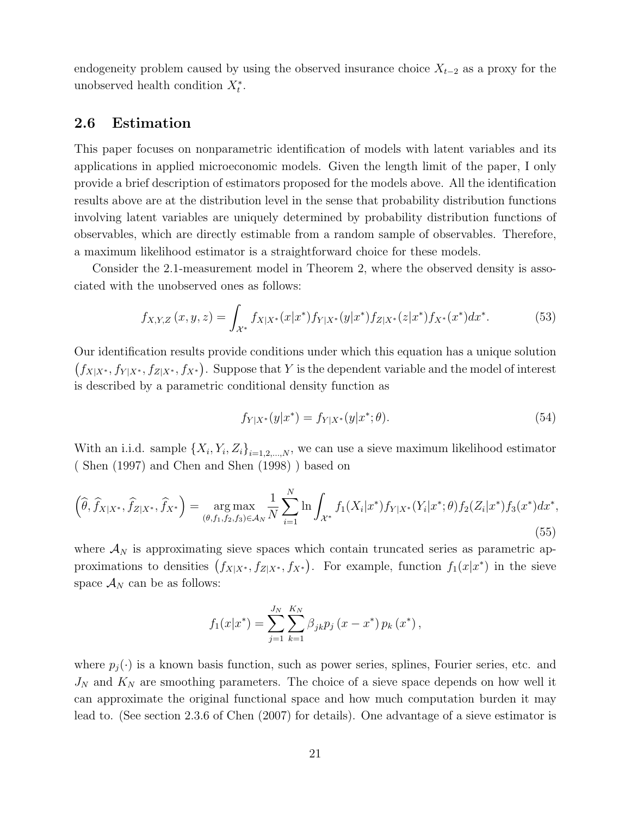endogeneity problem caused by using the observed insurance choice  $X_{t-2}$  as a proxy for the unobserved health condition  $X_t^*$ .

## 2.6 Estimation

This paper focuses on nonparametric identification of models with latent variables and its applications in applied microeconomic models. Given the length limit of the paper, I only provide a brief description of estimators proposed for the models above. All the identification results above are at the distribution level in the sense that probability distribution functions involving latent variables are uniquely determined by probability distribution functions of observables, which are directly estimable from a random sample of observables. Therefore, a maximum likelihood estimator is a straightforward choice for these models.

Consider the 2.1-measurement model in Theorem 2, where the observed density is associated with the unobserved ones as follows:

$$
f_{X,Y,Z}(x,y,z) = \int_{\mathcal{X}^*} f_{X|X^*}(x|x^*) f_{Y|X^*}(y|x^*) f_{Z|X^*}(z|x^*) f_{X^*}(x^*) dx^*.
$$
 (53)

Our identification results provide conditions under which this equation has a unique solution  $(f_{X|X^*}, f_{Y|X^*}, f_{Z|X^*}, f_{X^*})$ . Suppose that Y is the dependent variable and the model of interest is described by a parametric conditional density function as

$$
f_{Y|X^*}(y|x^*) = f_{Y|X^*}(y|x^*; \theta). \tag{54}
$$

With an i.i.d. sample  $\{X_i, Y_i, Z_i\}_{i=1,2,\dots,N}$ , we can use a sieve maximum likelihood estimator ( Shen (1997) and Chen and Shen (1998) ) based on

$$
\left(\widehat{\theta}, \widehat{f}_{X|X^*}, \widehat{f}_{Z|X^*}, \widehat{f}_{X^*}\right) = \underset{(\theta, f_1, f_2, f_3) \in \mathcal{A}_N}{\arg \max} \frac{1}{N} \sum_{i=1}^N \ln \int_{\mathcal{X}^*} f_1(X_i|x^*) f_{Y|X^*}(Y_i|x^*; \theta) f_2(Z_i|x^*) f_3(x^*) dx^*,
$$
\n(55)

where  $\mathcal{A}_N$  is approximating sieve spaces which contain truncated series as parametric approximations to densities  $(f_{X|X^*}, f_{Z|X^*}, f_{X^*})$ . For example, function  $f_1(x|x^*)$  in the sieve space  $\mathcal{A}_N$  can be as follows:

$$
f_1(x|x^*) = \sum_{j=1}^{J_N} \sum_{k=1}^{K_N} \beta_{jk} p_j (x - x^*) p_k (x^*),
$$

where  $p_j(\cdot)$  is a known basis function, such as power series, splines, Fourier series, etc. and  $J_N$  and  $K_N$  are smoothing parameters. The choice of a sieve space depends on how well it can approximate the original functional space and how much computation burden it may lead to. (See section 2.3.6 of Chen (2007) for details). One advantage of a sieve estimator is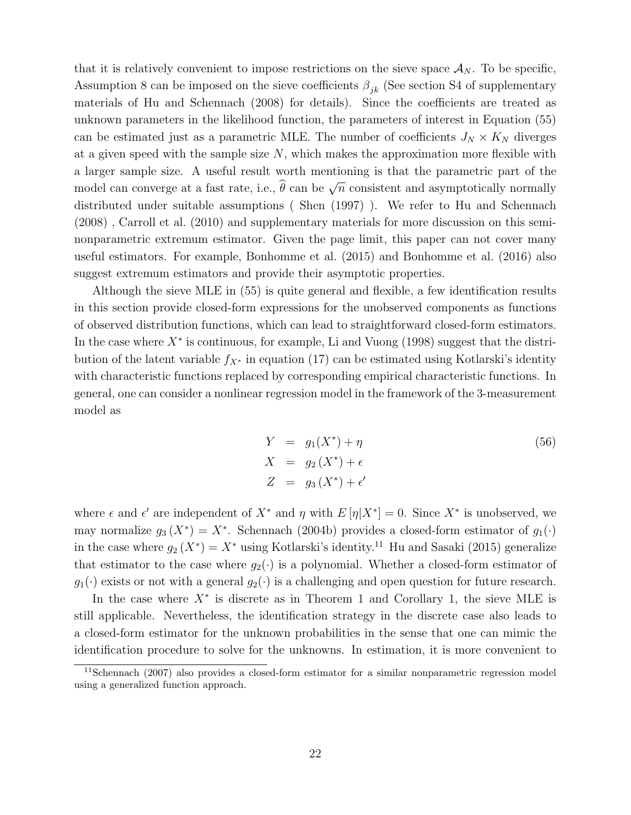that it is relatively convenient to impose restrictions on the sieve space  $\mathcal{A}_N$ . To be specific, Assumption 8 can be imposed on the sieve coefficients  $\beta_{ik}$  (See section S4 of supplementary materials of Hu and Schennach (2008) for details). Since the coefficients are treated as unknown parameters in the likelihood function, the parameters of interest in Equation (55) can be estimated just as a parametric MLE. The number of coefficients  $J_N \times K_N$  diverges at a given speed with the sample size  $N$ , which makes the approximation more flexible with a larger sample size. A useful result worth mentioning is that the parametric part of the model can converge at a fast rate, i.e.,  $\hat{\theta}$  can be  $\sqrt{n}$  consistent and asymptotically normally distributed under suitable assumptions ( Shen (1997) ). We refer to Hu and Schennach (2008) , Carroll et al. (2010) and supplementary materials for more discussion on this seminonparametric extremum estimator. Given the page limit, this paper can not cover many useful estimators. For example, Bonhomme et al. (2015) and Bonhomme et al. (2016) also suggest extremum estimators and provide their asymptotic properties.

Although the sieve MLE in (55) is quite general and flexible, a few identification results in this section provide closed-form expressions for the unobserved components as functions of observed distribution functions, which can lead to straightforward closed-form estimators. In the case where  $X^*$  is continuous, for example, Li and Vuong (1998) suggest that the distribution of the latent variable  $f_{X^*}$  in equation (17) can be estimated using Kotlarski's identity with characteristic functions replaced by corresponding empirical characteristic functions. In general, one can consider a nonlinear regression model in the framework of the 3-measurement model as

$$
Y = g_1(X^*) + \eta
$$
  
\n
$$
X = g_2(X^*) + \epsilon
$$
  
\n
$$
Z = g_3(X^*) + \epsilon'
$$
\n(56)

where  $\epsilon$  and  $\epsilon'$  are independent of  $X^*$  and  $\eta$  with  $E[\eta|X^*]=0$ . Since  $X^*$  is unobserved, we may normalize  $g_3(X^*) = X^*$ . Schennach (2004b) provides a closed-form estimator of  $g_1(\cdot)$ in the case where  $g_2(X^*) = X^*$  using Kotlarski's identity.<sup>11</sup> Hu and Sasaki (2015) generalize that estimator to the case where  $g_2(\cdot)$  is a polynomial. Whether a closed-form estimator of  $g_1(\cdot)$  exists or not with a general  $g_2(\cdot)$  is a challenging and open question for future research.

In the case where  $X^*$  is discrete as in Theorem 1 and Corollary 1, the sieve MLE is still applicable. Nevertheless, the identification strategy in the discrete case also leads to a closed-form estimator for the unknown probabilities in the sense that one can mimic the identification procedure to solve for the unknowns. In estimation, it is more convenient to

 $11$ Schennach (2007) also provides a closed-form estimator for a similar nonparametric regression model using a generalized function approach.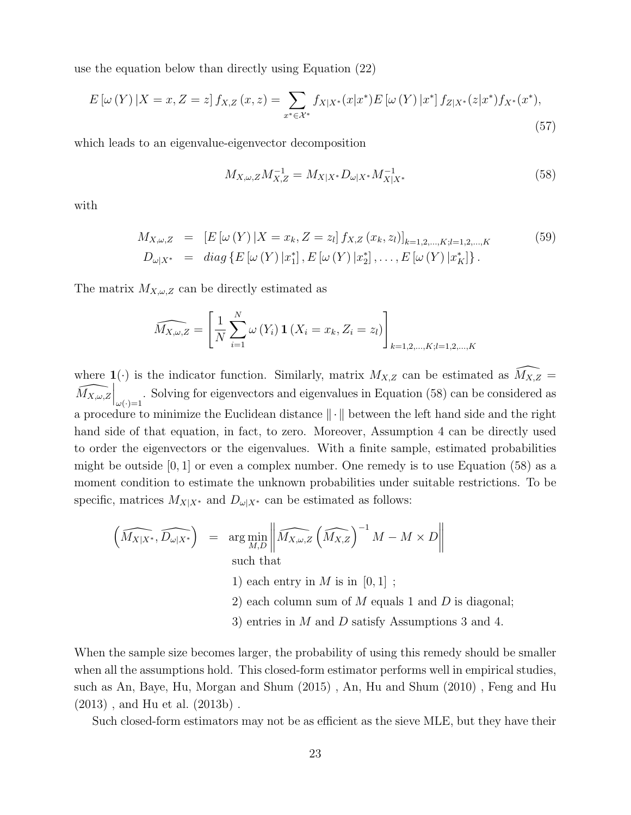use the equation below than directly using Equation (22)

$$
E\left[\omega\left(Y\right)|X=x,Z=z\right]f_{X,Z}\left(x,z\right)=\sum_{x^*\in\mathcal{X}^*}f_{X|X^*}(x|x^*)E\left[\omega\left(Y\right)|x^*\right]f_{Z|X^*}(z|x^*)f_{X^*}(x^*),\tag{57}
$$

which leads to an eigenvalue-eigenvector decomposition

$$
M_{X,\omega,Z}M_{X,Z}^{-1} = M_{X|X^*}D_{\omega|X^*}M_{X|X^*}^{-1}
$$
\n(58)

with

$$
M_{X,\omega,Z} = [E[\omega(Y) | X = x_k, Z = z_l] f_{X,Z}(x_k, z_l)]_{k=1,2,\dots,K; l=1,2,\dots,K}
$$
  
\n
$$
D_{\omega|X^*} = diag\{E[\omega(Y) | x_1^*], E[\omega(Y) | x_2^*], \dots, E[\omega(Y) | x_K^*]\}.
$$
\n(59)

The matrix  $M_{X,\omega,Z}$  can be directly estimated as

$$
\widehat{M_{X,\omega,Z}} = \left[\frac{1}{N} \sum_{i=1}^{N} \omega(Y_i) \mathbf{1}(X_i = x_k, Z_i = z_l)\right]_{k=1,2,\dots,K; l=1,2,\dots,K}
$$

where  $\mathbf{1}(\cdot)$  is the indicator function. Similarly, matrix  $M_{X,Z}$  can be estimated as  $\widehat{M_{X,Z}}$  =  $\widehat{M_{X,\omega,Z}}\Big|_{\omega(\cdot)=1}$ . Solving for eigenvectors and eigenvalues in Equation (58) can be considered as a procedure to minimize the Euclidean distance  $\|\cdot\|$  between the left hand side and the right hand side of that equation, in fact, to zero. Moreover, Assumption 4 can be directly used to order the eigenvectors or the eigenvalues. With a finite sample, estimated probabilities might be outside  $[0, 1]$  or even a complex number. One remedy is to use Equation (58) as a moment condition to estimate the unknown probabilities under suitable restrictions. To be specific, matrices  $M_{X|X^*}$  and  $D_{\omega|X^*}$  can be estimated as follows:

$$
\left(\widehat{M_{X|X^*}}, \widehat{D_{\omega|X^*}}\right) = \underset{M,D}{\arg\min} \left\| \widehat{M_{X,\omega,Z}} \left(\widehat{M_{X,Z}}\right)^{-1} M - M \times D \right\|
$$
\nsuch that

\n1) each entry in  $M$  is in  $[0,1]$  ;

\n2) each column sum of  $M$  equals 1 and  $D$  is diagonal;

3) entries in M and D satisfy Assumptions 3 and 4.

When the sample size becomes larger, the probability of using this remedy should be smaller when all the assumptions hold. This closed-form estimator performs well in empirical studies, such as An, Baye, Hu, Morgan and Shum (2015) , An, Hu and Shum (2010) , Feng and Hu (2013) , and Hu et al. (2013b) .

Such closed-form estimators may not be as efficient as the sieve MLE, but they have their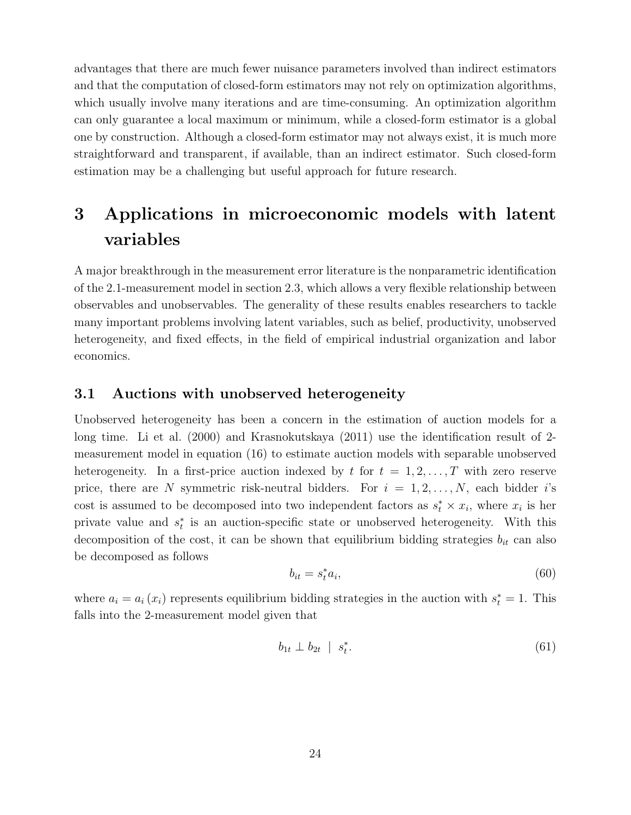advantages that there are much fewer nuisance parameters involved than indirect estimators and that the computation of closed-form estimators may not rely on optimization algorithms, which usually involve many iterations and are time-consuming. An optimization algorithm can only guarantee a local maximum or minimum, while a closed-form estimator is a global one by construction. Although a closed-form estimator may not always exist, it is much more straightforward and transparent, if available, than an indirect estimator. Such closed-form estimation may be a challenging but useful approach for future research.

# 3 Applications in microeconomic models with latent variables

A major breakthrough in the measurement error literature is the nonparametric identification of the 2.1-measurement model in section 2.3, which allows a very flexible relationship between observables and unobservables. The generality of these results enables researchers to tackle many important problems involving latent variables, such as belief, productivity, unobserved heterogeneity, and fixed effects, in the field of empirical industrial organization and labor economics.

#### 3.1 Auctions with unobserved heterogeneity

Unobserved heterogeneity has been a concern in the estimation of auction models for a long time. Li et al. (2000) and Krasnokutskaya (2011) use the identification result of 2 measurement model in equation (16) to estimate auction models with separable unobserved heterogeneity. In a first-price auction indexed by t for  $t = 1, 2, \ldots, T$  with zero reserve price, there are N symmetric risk-neutral bidders. For  $i = 1, 2, ..., N$ , each bidder i's cost is assumed to be decomposed into two independent factors as  $s_t^* \times x_i$ , where  $x_i$  is her private value and  $s_t^*$  is an auction-specific state or unobserved heterogeneity. With this decomposition of the cost, it can be shown that equilibrium bidding strategies  $b_{it}$  can also be decomposed as follows

$$
b_{it} = s_t^* a_i,\tag{60}
$$

where  $a_i = a_i(x_i)$  represents equilibrium bidding strategies in the auction with  $s_t^* = 1$ . This falls into the 2-measurement model given that

$$
b_{1t} \perp b_{2t} \mid s_t^*.
$$
\n
$$
(61)
$$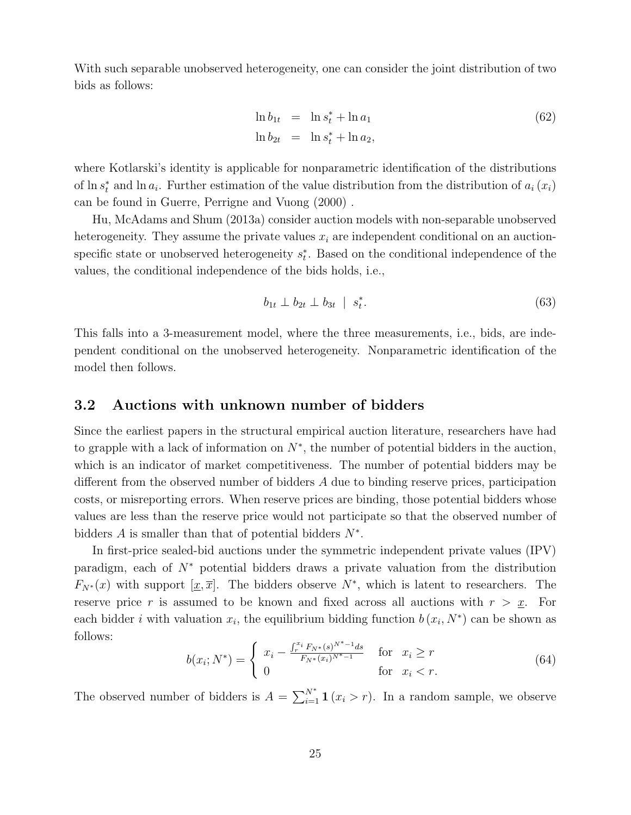With such separable unobserved heterogeneity, one can consider the joint distribution of two bids as follows:

$$
\ln b_{1t} = \ln s_t^* + \ln a_1
$$
  
\n
$$
\ln b_{2t} = \ln s_t^* + \ln a_2,
$$
\n(62)

where Kotlarski's identity is applicable for nonparametric identification of the distributions of  $\ln s_t^*$  and  $\ln a_t$ . Further estimation of the value distribution from the distribution of  $a_i(x_i)$ can be found in Guerre, Perrigne and Vuong (2000) .

Hu, McAdams and Shum (2013a) consider auction models with non-separable unobserved heterogeneity. They assume the private values  $x_i$  are independent conditional on an auctionspecific state or unobserved heterogeneity  $s_t^*$ . Based on the conditional independence of the values, the conditional independence of the bids holds, i.e.,

$$
b_{1t} \perp b_{2t} \perp b_{3t} \mid s_t^*.
$$
\n
$$
(63)
$$

This falls into a 3-measurement model, where the three measurements, i.e., bids, are independent conditional on the unobserved heterogeneity. Nonparametric identification of the model then follows.

#### 3.2 Auctions with unknown number of bidders

Since the earliest papers in the structural empirical auction literature, researchers have had to grapple with a lack of information on  $N^*$ , the number of potential bidders in the auction, which is an indicator of market competitiveness. The number of potential bidders may be different from the observed number of bidders A due to binding reserve prices, participation costs, or misreporting errors. When reserve prices are binding, those potential bidders whose values are less than the reserve price would not participate so that the observed number of bidders  $A$  is smaller than that of potential bidders  $N^*$ .

In first-price sealed-bid auctions under the symmetric independent private values (IPV) paradigm, each of N<sup>∗</sup> potential bidders draws a private valuation from the distribution  $F_{N^*}(x)$  with support  $[\underline{x}, \overline{x}]$ . The bidders observe  $N^*$ , which is latent to researchers. The reserve price r is assumed to be known and fixed across all auctions with  $r > x$ . For each bidder *i* with valuation  $x_i$ , the equilibrium bidding function  $b(x_i, N^*)$  can be shown as follows:

$$
b(x_i; N^*) = \begin{cases} x_i - \frac{\int_r^{x_i} F_{N^*}(s)^{N^* - 1} ds}{F_{N^*}(x_i)^{N^* - 1}} & \text{for } x_i \ge r\\ 0 & \text{for } x_i < r. \end{cases}
$$
(64)

The observed number of bidders is  $A = \sum_{i=1}^{N^*} \mathbf{1}(x_i > r)$ . In a random sample, we observe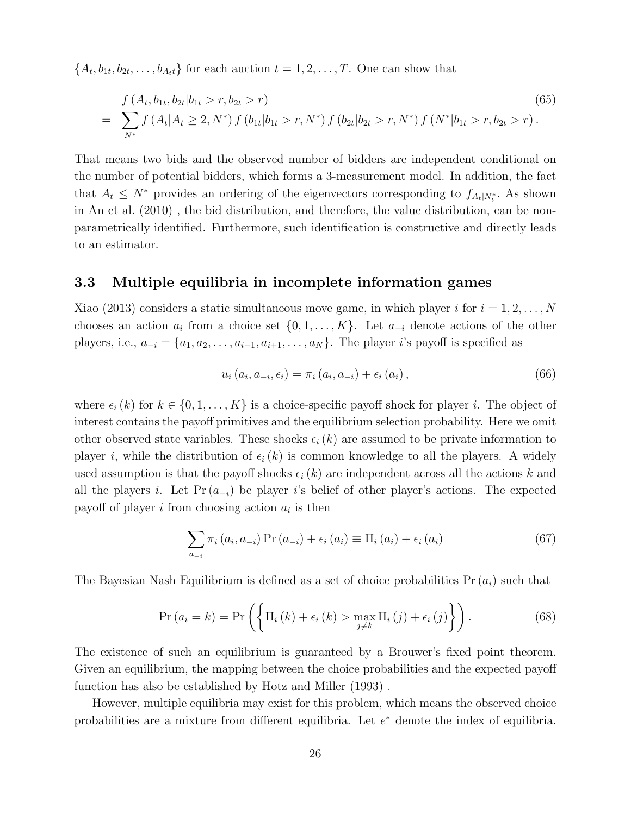$\{A_t, b_{1t}, b_{2t}, \ldots, b_{A_t t}\}\$  for each auction  $t = 1, 2, \ldots, T$ . One can show that

$$
f(A_t, b_{1t}, b_{2t} | b_{1t} > r, b_{2t} > r)
$$
\n
$$
= \sum_{N^*} f(A_t | A_t \ge 2, N^*) f(b_{1t} | b_{1t} > r, N^*) f(b_{2t} | b_{2t} > r, N^*) f(N^* | b_{1t} > r, b_{2t} > r).
$$
\n(65)

That means two bids and the observed number of bidders are independent conditional on the number of potential bidders, which forms a 3-measurement model. In addition, the fact that  $A_t \leq N^*$  provides an ordering of the eigenvectors corresponding to  $f_{A_t|N_t^*}$ . As shown in An et al. (2010) , the bid distribution, and therefore, the value distribution, can be nonparametrically identified. Furthermore, such identification is constructive and directly leads to an estimator.

#### 3.3 Multiple equilibria in incomplete information games

Xiao (2013) considers a static simultaneous move game, in which player i for  $i = 1, 2, ..., N$ chooses an action  $a_i$  from a choice set  $\{0, 1, \ldots, K\}$ . Let  $a_{-i}$  denote actions of the other players, i.e.,  $a_{-i} = \{a_1, a_2, \ldots, a_{i-1}, a_{i+1}, \ldots, a_N\}$ . The player i's payoff is specified as

$$
u_i(a_i, a_{-i}, \epsilon_i) = \pi_i(a_i, a_{-i}) + \epsilon_i(a_i), \qquad (66)
$$

where  $\epsilon_i (k)$  for  $k \in \{0, 1, \ldots, K\}$  is a choice-specific payoff shock for player i. The object of interest contains the payoff primitives and the equilibrium selection probability. Here we omit other observed state variables. These shocks  $\epsilon_i (k)$  are assumed to be private information to player i, while the distribution of  $\epsilon_i (k)$  is common knowledge to all the players. A widely used assumption is that the payoff shocks  $\epsilon_i (k)$  are independent across all the actions k and all the players i. Let  $Pr(a_{-i})$  be player is belief of other player's actions. The expected payoff of player  $i$  from choosing action  $a_i$  is then

$$
\sum_{a_{-i}} \pi_i (a_i, a_{-i}) \Pr(a_{-i}) + \epsilon_i (a_i) \equiv \Pi_i (a_i) + \epsilon_i (a_i)
$$
 (67)

The Bayesian Nash Equilibrium is defined as a set of choice probabilities  $Pr(a_i)$  such that

$$
\Pr\left(a_{i}=k\right)=\Pr\left(\left\{\Pi_{i}\left(k\right)+\epsilon_{i}\left(k\right)>\max_{j\neq k}\Pi_{i}\left(j\right)+\epsilon_{i}\left(j\right)\right\}\right).
$$
\n(68)

The existence of such an equilibrium is guaranteed by a Brouwer's fixed point theorem. Given an equilibrium, the mapping between the choice probabilities and the expected payoff function has also be established by Hotz and Miller (1993) .

However, multiple equilibria may exist for this problem, which means the observed choice probabilities are a mixture from different equilibria. Let  $e^*$  denote the index of equilibria.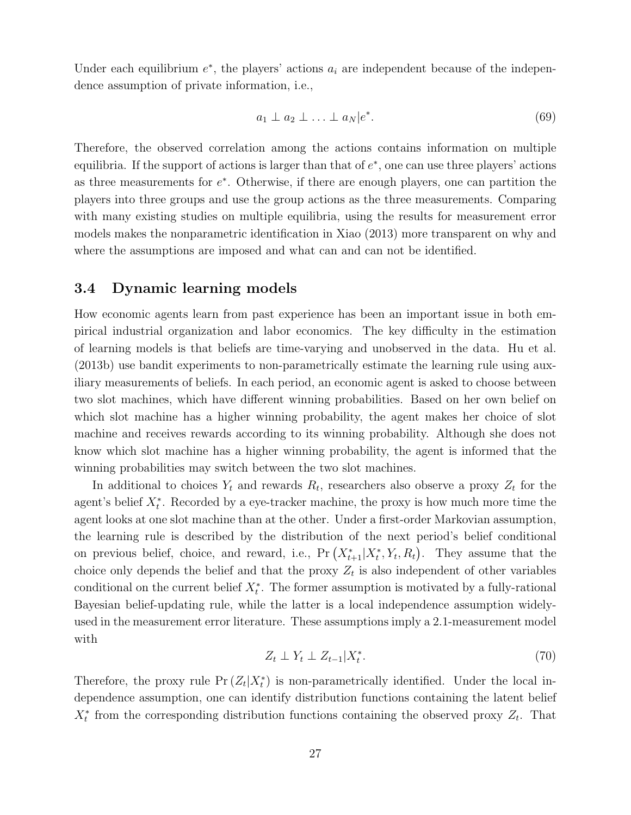Under each equilibrium  $e^*$ , the players' actions  $a_i$  are independent because of the independence assumption of private information, i.e.,

$$
a_1 \perp a_2 \perp \ldots \perp a_N |e^*.
$$
 (69)

Therefore, the observed correlation among the actions contains information on multiple equilibria. If the support of actions is larger than that of  $e^*$ , one can use three players' actions as three measurements for  $e^*$ . Otherwise, if there are enough players, one can partition the players into three groups and use the group actions as the three measurements. Comparing with many existing studies on multiple equilibria, using the results for measurement error models makes the nonparametric identification in Xiao (2013) more transparent on why and where the assumptions are imposed and what can and can not be identified.

## 3.4 Dynamic learning models

How economic agents learn from past experience has been an important issue in both empirical industrial organization and labor economics. The key difficulty in the estimation of learning models is that beliefs are time-varying and unobserved in the data. Hu et al. (2013b) use bandit experiments to non-parametrically estimate the learning rule using auxiliary measurements of beliefs. In each period, an economic agent is asked to choose between two slot machines, which have different winning probabilities. Based on her own belief on which slot machine has a higher winning probability, the agent makes her choice of slot machine and receives rewards according to its winning probability. Although she does not know which slot machine has a higher winning probability, the agent is informed that the winning probabilities may switch between the two slot machines.

In additional to choices  $Y_t$  and rewards  $R_t$ , researchers also observe a proxy  $Z_t$  for the agent's belief  $X_t^*$ . Recorded by a eye-tracker machine, the proxy is how much more time the agent looks at one slot machine than at the other. Under a first-order Markovian assumption, the learning rule is described by the distribution of the next period's belief conditional on previous belief, choice, and reward, i.e.,  $Pr(X_{t+1}^* | X_t^*, Y_t, R_t)$ . They assume that the choice only depends the belief and that the proxy  $Z_t$  is also independent of other variables conditional on the current belief  $X_t^*$ . The former assumption is motivated by a fully-rational Bayesian belief-updating rule, while the latter is a local independence assumption widelyused in the measurement error literature. These assumptions imply a 2.1-measurement model with

$$
Z_t \perp Y_t \perp Z_{t-1} | X_t^*.
$$
\n<sup>(70)</sup>

Therefore, the proxy rule  $Pr(Z_t|X_t^*)$  is non-parametrically identified. Under the local independence assumption, one can identify distribution functions containing the latent belief  $X_t^*$  from the corresponding distribution functions containing the observed proxy  $Z_t$ . That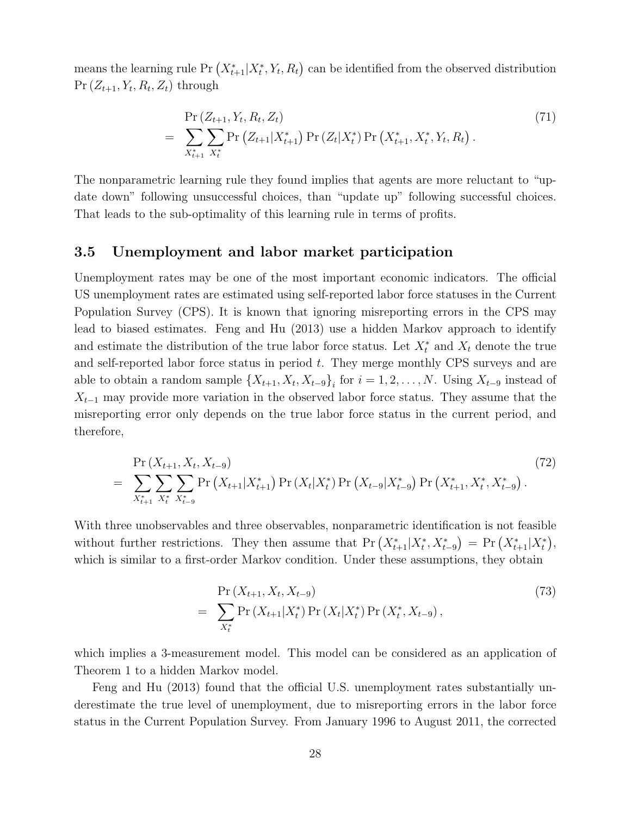means the learning rule Pr  $(X_{t+1}^* | X_t^*, Y_t, R_t)$  can be identified from the observed distribution  $Pr(Z_{t+1}, Y_t, R_t, Z_t)$  through

$$
= \sum_{X_{t+1}^*} \sum_{X_t^*} \Pr(Z_{t+1}|X_{t+1}^*) \Pr(Z_t|X_t^*) \Pr(X_{t+1}^*, X_t^*, Y_t, R_t).
$$
\n(71)

The nonparametric learning rule they found implies that agents are more reluctant to "update down" following unsuccessful choices, than "update up" following successful choices. That leads to the sub-optimality of this learning rule in terms of profits.

### 3.5 Unemployment and labor market participation

Unemployment rates may be one of the most important economic indicators. The official US unemployment rates are estimated using self-reported labor force statuses in the Current Population Survey (CPS). It is known that ignoring misreporting errors in the CPS may lead to biased estimates. Feng and Hu (2013) use a hidden Markov approach to identify and estimate the distribution of the true labor force status. Let  $X_t^*$  and  $X_t$  denote the true and self-reported labor force status in period t. They merge monthly CPS surveys and are able to obtain a random sample  $\{X_{t+1}, X_t, X_{t-9}\}\$  for  $i = 1, 2, ..., N$ . Using  $X_{t-9}$  instead of  $X_{t-1}$  may provide more variation in the observed labor force status. They assume that the misreporting error only depends on the true labor force status in the current period, and therefore,

$$
= \sum_{X_{t+1}^*} \sum_{X_t^*} \sum_{X_{t-9}^*} \Pr(X_{t+1}|X_{t+1}^*) \Pr(X_t|X_t^*) \Pr(X_{t-9}|X_{t-9}^*) \Pr(X_{t+1}^*, X_t^*, X_{t-9}^*)
$$
\n
$$
(72)
$$

With three unobservables and three observables, nonparametric identification is not feasible without further restrictions. They then assume that  $Pr(X_{t+1}^* | X_t^*, X_{t-9}^*) = Pr(X_{t+1}^* | X_t^*)$ , which is similar to a first-order Markov condition. Under these assumptions, they obtain

$$
= \sum_{X_t^*} \Pr(X_{t+1} | X_t^*) \Pr(X_t | X_t^*) \Pr(X_t^*, X_{t-9}),
$$
\n(73)

which implies a 3-measurement model. This model can be considered as an application of Theorem 1 to a hidden Markov model.

Feng and Hu (2013) found that the official U.S. unemployment rates substantially underestimate the true level of unemployment, due to misreporting errors in the labor force status in the Current Population Survey. From January 1996 to August 2011, the corrected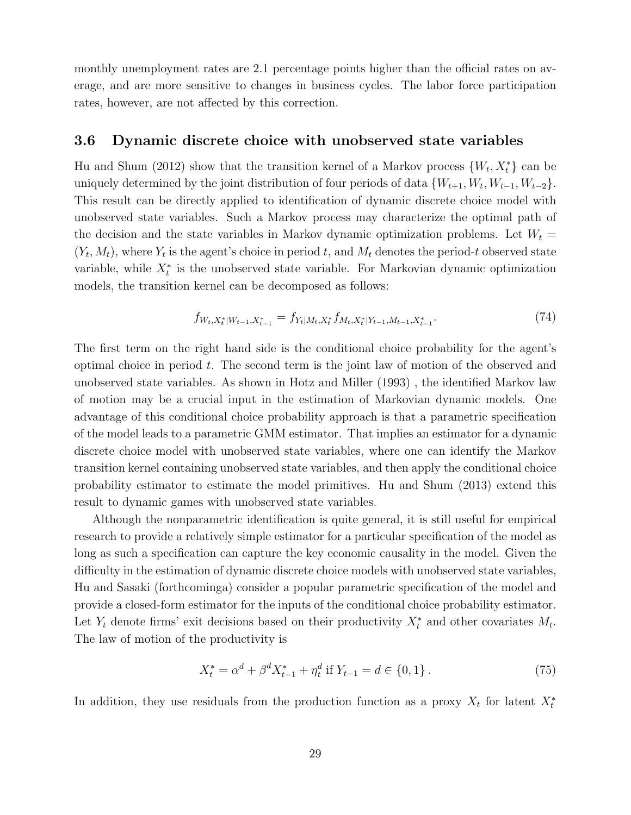monthly unemployment rates are 2.1 percentage points higher than the official rates on average, and are more sensitive to changes in business cycles. The labor force participation rates, however, are not affected by this correction.

## 3.6 Dynamic discrete choice with unobserved state variables

Hu and Shum (2012) show that the transition kernel of a Markov process  $\{W_t, X_t^*\}$  can be uniquely determined by the joint distribution of four periods of data  $\{W_{t+1}, W_t, W_{t-1}, W_{t-2}\}.$ This result can be directly applied to identification of dynamic discrete choice model with unobserved state variables. Such a Markov process may characterize the optimal path of the decision and the state variables in Markov dynamic optimization problems. Let  $W_t =$  $(Y_t, M_t)$ , where  $Y_t$  is the agent's choice in period t, and  $M_t$  denotes the period-t observed state variable, while  $X_t^*$  is the unobserved state variable. For Markovian dynamic optimization models, the transition kernel can be decomposed as follows:

$$
f_{W_t, X_t^*|W_{t-1}, X_{t-1}^*} = f_{Y_t|M_t, X_t^*} f_{M_t, X_t^*|Y_{t-1}, M_{t-1}, X_{t-1}^*}.
$$
\n
$$
(74)
$$

The first term on the right hand side is the conditional choice probability for the agent's optimal choice in period  $t$ . The second term is the joint law of motion of the observed and unobserved state variables. As shown in Hotz and Miller (1993) , the identified Markov law of motion may be a crucial input in the estimation of Markovian dynamic models. One advantage of this conditional choice probability approach is that a parametric specification of the model leads to a parametric GMM estimator. That implies an estimator for a dynamic discrete choice model with unobserved state variables, where one can identify the Markov transition kernel containing unobserved state variables, and then apply the conditional choice probability estimator to estimate the model primitives. Hu and Shum (2013) extend this result to dynamic games with unobserved state variables.

Although the nonparametric identification is quite general, it is still useful for empirical research to provide a relatively simple estimator for a particular specification of the model as long as such a specification can capture the key economic causality in the model. Given the difficulty in the estimation of dynamic discrete choice models with unobserved state variables, Hu and Sasaki (forthcominga) consider a popular parametric specification of the model and provide a closed-form estimator for the inputs of the conditional choice probability estimator. Let  $Y_t$  denote firms' exit decisions based on their productivity  $X_t^*$  and other covariates  $M_t$ . The law of motion of the productivity is

$$
X_t^* = \alpha^d + \beta^d X_{t-1}^* + \eta_t^d \text{ if } Y_{t-1} = d \in \{0, 1\}.
$$
 (75)

In addition, they use residuals from the production function as a proxy  $X_t$  for latent  $X_t^*$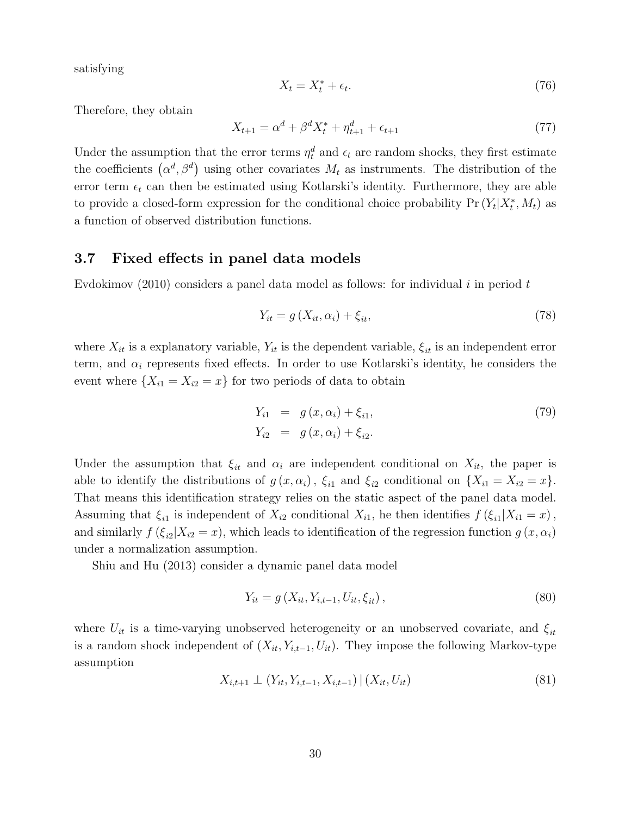satisfying

$$
X_t = X_t^* + \epsilon_t. \tag{76}
$$

Therefore, they obtain

$$
X_{t+1} = \alpha^d + \beta^d X_t^* + \eta_{t+1}^d + \epsilon_{t+1}
$$
\n(77)

Under the assumption that the error terms  $\eta_t^d$  and  $\epsilon_t$  are random shocks, they first estimate the coefficients  $(\alpha^d, \beta^d)$  using other covariates  $M_t$  as instruments. The distribution of the error term  $\epsilon_t$  can then be estimated using Kotlarski's identity. Furthermore, they are able to provide a closed-form expression for the conditional choice probability  $Pr(Y_t|X_t^*, M_t)$  as a function of observed distribution functions.

#### 3.7 Fixed effects in panel data models

Evdokimov (2010) considers a panel data model as follows: for individual i in period t

$$
Y_{it} = g\left(X_{it}, \alpha_i\right) + \xi_{it},\tag{78}
$$

where  $X_{it}$  is a explanatory variable,  $Y_{it}$  is the dependent variable,  $\xi_{it}$  is an independent error term, and  $\alpha_i$  represents fixed effects. In order to use Kotlarski's identity, he considers the event where  $\{X_{i1} = X_{i2} = x\}$  for two periods of data to obtain

$$
Y_{i1} = g(x, \alpha_i) + \xi_{i1},
$$
  
\n
$$
Y_{i2} = g(x, \alpha_i) + \xi_{i2}.
$$
\n(79)

Under the assumption that  $\xi_{it}$  and  $\alpha_i$  are independent conditional on  $X_{it}$ , the paper is able to identify the distributions of  $g(x, \alpha_i)$ ,  $\xi_{i1}$  and  $\xi_{i2}$  conditional on  $\{X_{i1} = X_{i2} = x\}$ . That means this identification strategy relies on the static aspect of the panel data model. Assuming that  $\xi_{i1}$  is independent of  $X_{i2}$  conditional  $X_{i1}$ , he then identifies  $f(\xi_{i1}|X_{i1}=x)$ , and similarly  $f(\xi_{i2}|X_{i2}=x)$ , which leads to identification of the regression function  $g(x, \alpha_i)$ under a normalization assumption.

Shiu and Hu (2013) consider a dynamic panel data model

$$
Y_{it} = g(X_{it}, Y_{i,t-1}, U_{it}, \xi_{it}),
$$
\n(80)

where  $U_{it}$  is a time-varying unobserved heterogeneity or an unobserved covariate, and  $\xi_{it}$ is a random shock independent of  $(X_{it}, Y_{i,t-1}, U_{it})$ . They impose the following Markov-type assumption

$$
X_{i,t+1} \perp (Y_{it}, Y_{i,t-1}, X_{i,t-1}) \mid (X_{it}, U_{it}) \tag{81}
$$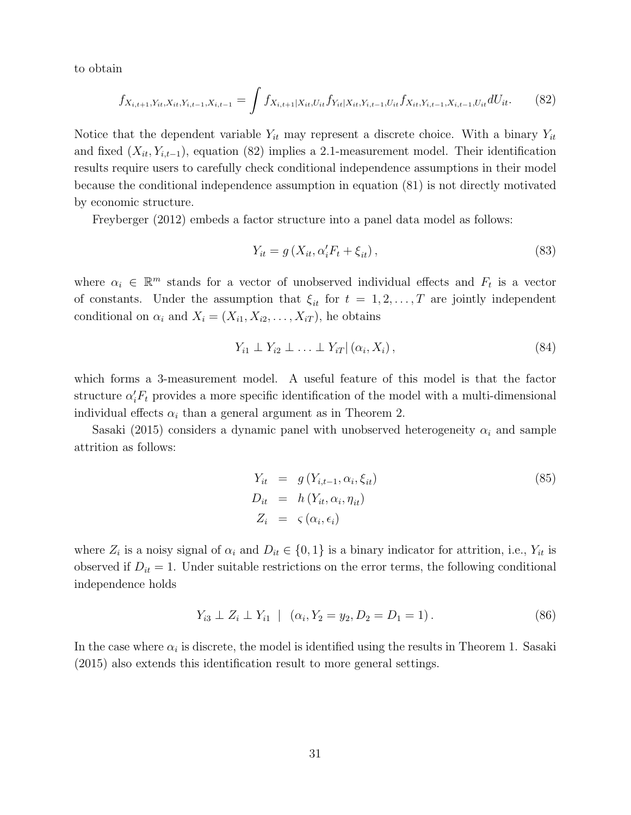to obtain

$$
f_{X_{i,t+1},Y_{it},X_{it},Y_{i,t-1},X_{i,t-1}} = \int f_{X_{i,t+1}|X_{it},U_{it}} f_{Y_{it}|X_{it},Y_{i,t-1},U_{it}} f_{X_{it},Y_{i,t-1},X_{i,t-1},U_{it}} dU_{it}.
$$
 (82)

Notice that the dependent variable  $Y_{it}$  may represent a discrete choice. With a binary  $Y_{it}$ and fixed  $(X_{it}, Y_{i,t-1})$ , equation (82) implies a 2.1-measurement model. Their identification results require users to carefully check conditional independence assumptions in their model because the conditional independence assumption in equation (81) is not directly motivated by economic structure.

Freyberger (2012) embeds a factor structure into a panel data model as follows:

$$
Y_{it} = g\left(X_{it}, \alpha'_{i} F_{t} + \xi_{it}\right),\tag{83}
$$

where  $\alpha_i \in \mathbb{R}^m$  stands for a vector of unobserved individual effects and  $F_t$  is a vector of constants. Under the assumption that  $\xi_{it}$  for  $t = 1, 2, ..., T$  are jointly independent conditional on  $\alpha_i$  and  $X_i = (X_{i1}, X_{i2}, \ldots, X_{iT})$ , he obtains

$$
Y_{i1} \perp Y_{i2} \perp \ldots \perp Y_{iT} | (\alpha_i, X_i), \qquad (84)
$$

which forms a 3-measurement model. A useful feature of this model is that the factor structure  $\alpha'_{i}F_{t}$  provides a more specific identification of the model with a multi-dimensional individual effects  $\alpha_i$  than a general argument as in Theorem 2.

Sasaki (2015) considers a dynamic panel with unobserved heterogeneity  $\alpha_i$  and sample attrition as follows:

$$
Y_{it} = g(Y_{i,t-1}, \alpha_i, \xi_{it})
$$
  
\n
$$
D_{it} = h(Y_{it}, \alpha_i, \eta_{it})
$$
  
\n
$$
Z_i = \zeta(\alpha_i, \epsilon_i)
$$
\n(85)

where  $Z_i$  is a noisy signal of  $\alpha_i$  and  $D_{it} \in \{0,1\}$  is a binary indicator for attrition, i.e.,  $Y_{it}$  is observed if  $D_{it} = 1$ . Under suitable restrictions on the error terms, the following conditional independence holds

$$
Y_{i3} \perp Z_i \perp Y_{i1} \mid (\alpha_i, Y_2 = y_2, D_2 = D_1 = 1).
$$
 (86)

In the case where  $\alpha_i$  is discrete, the model is identified using the results in Theorem 1. Sasaki (2015) also extends this identification result to more general settings.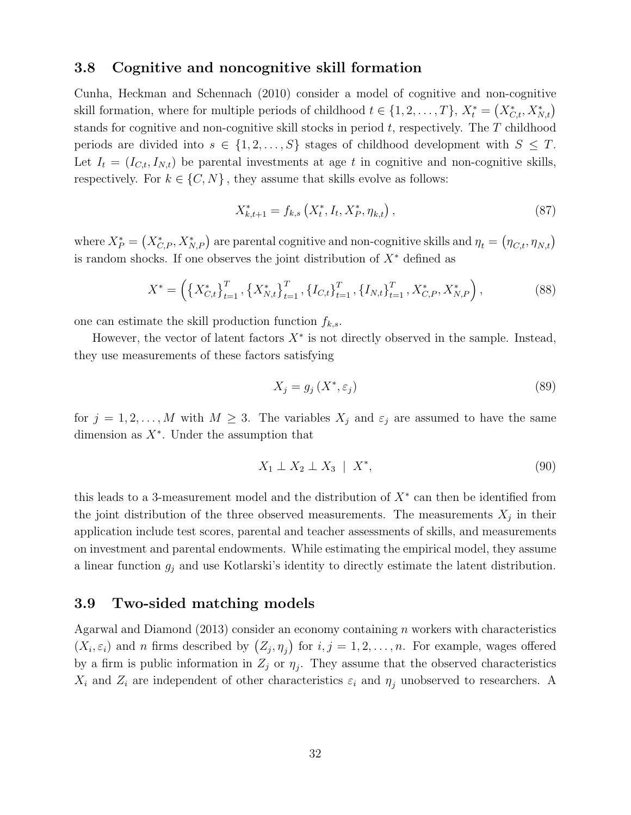#### 3.8 Cognitive and noncognitive skill formation

Cunha, Heckman and Schennach (2010) consider a model of cognitive and non-cognitive skill formation, where for multiple periods of childhood  $t \in \{1, 2, ..., T\}$ ,  $X_t^* = (X_{C,t}^*, X_{N,t}^*)$ stands for cognitive and non-cognitive skill stocks in period  $t$ , respectively. The  $T$  childhood periods are divided into  $s \in \{1, 2, ..., S\}$  stages of childhood development with  $S \leq T$ . Let  $I_t = (I_{C,t}, I_{N,t})$  be parental investments at age t in cognitive and non-cognitive skills, respectively. For  $k \in \{C, N\}$ , they assume that skills evolve as follows:

$$
X_{k,t+1}^* = f_{k,s} \left( X_t^*, I_t, X_P^*, \eta_{k,t} \right), \tag{87}
$$

where  $X_P^* = (X_{C,P}^*, X_{N,P}^*)$  are parental cognitive and non-cognitive skills and  $\eta_t = (\eta_{C,t}, \eta_{N,t})$ is random shocks. If one observes the joint distribution of  $X^*$  defined as

$$
X^* = \left(\left\{X_{C,t}^*\right\}_{t=1}^T, \left\{X_{N,t}^*\right\}_{t=1}^T, \left\{I_{C,t}\right\}_{t=1}^T, \left\{I_{N,t}\right\}_{t=1}^T, X_{C,P}^*, X_{N,P}^*\right),\tag{88}
$$

one can estimate the skill production function  $f_{k,s}$ .

However, the vector of latent factors  $X^*$  is not directly observed in the sample. Instead, they use measurements of these factors satisfying

$$
X_j = g_j\left(X^*, \varepsilon_j\right) \tag{89}
$$

for  $j = 1, 2, ..., M$  with  $M \geq 3$ . The variables  $X_j$  and  $\varepsilon_j$  are assumed to have the same dimension as  $X^*$ . Under the assumption that

$$
X_1 \perp X_2 \perp X_3 \mid X^*, \tag{90}
$$

this leads to a 3-measurement model and the distribution of  $X^*$  can then be identified from the joint distribution of the three observed measurements. The measurements  $X_j$  in their application include test scores, parental and teacher assessments of skills, and measurements on investment and parental endowments. While estimating the empirical model, they assume a linear function  $g_j$  and use Kotlarski's identity to directly estimate the latent distribution.

#### 3.9 Two-sided matching models

Agarwal and Diamond  $(2013)$  consider an economy containing n workers with characteristics  $(X_i, \varepsilon_i)$  and n firms described by  $(Z_j, \eta_j)$  for  $i, j = 1, 2, \ldots, n$ . For example, wages offered by a firm is public information in  $Z_j$  or  $\eta_j$ . They assume that the observed characteristics  $X_i$  and  $Z_i$  are independent of other characteristics  $\varepsilon_i$  and  $\eta_j$  unobserved to researchers. A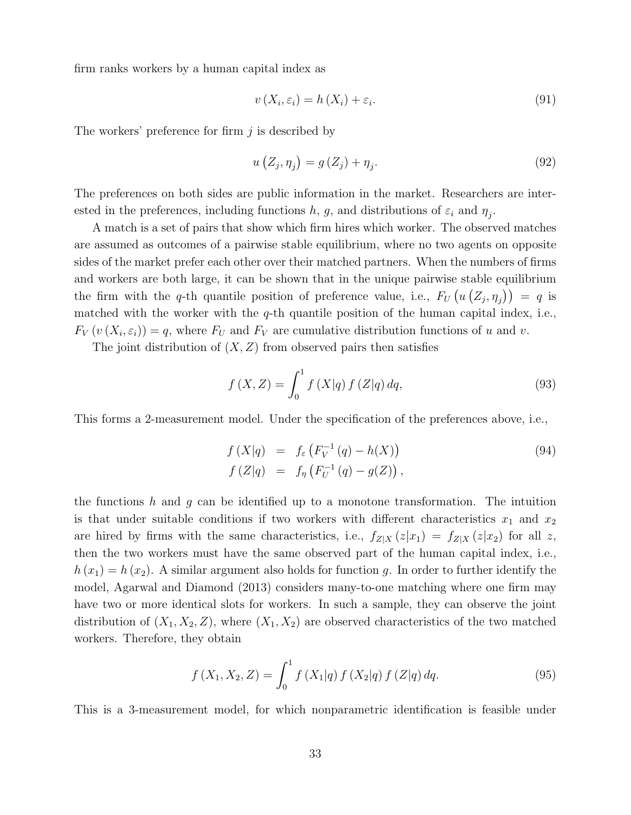firm ranks workers by a human capital index as

$$
v(X_i, \varepsilon_i) = h(X_i) + \varepsilon_i.
$$
\n
$$
(91)
$$

The workers' preference for firm  $j$  is described by

$$
u\left(Z_j, \eta_j\right) = g\left(Z_j\right) + \eta_j. \tag{92}
$$

The preferences on both sides are public information in the market. Researchers are interested in the preferences, including functions h, g, and distributions of  $\varepsilon_i$  and  $\eta_j$ .

A match is a set of pairs that show which firm hires which worker. The observed matches are assumed as outcomes of a pairwise stable equilibrium, where no two agents on opposite sides of the market prefer each other over their matched partners. When the numbers of firms and workers are both large, it can be shown that in the unique pairwise stable equilibrium the firm with the q-th quantile position of preference value, i.e.,  $F_U(u(Z_j, \eta_j)) = q$  is matched with the worker with the  $q$ -th quantile position of the human capital index, i.e.,  $F_V(v(X_i, \varepsilon_i)) = q$ , where  $F_U$  and  $F_V$  are cumulative distribution functions of u and v.

The joint distribution of  $(X, Z)$  from observed pairs then satisfies

$$
f(X, Z) = \int_0^1 f(X|q) f(Z|q) dq,
$$
\n(93)

This forms a 2-measurement model. Under the specification of the preferences above, i.e.,

$$
f(X|q) = f_{\varepsilon} (F_V^{-1} (q) - h(X)) \nf(Z|q) = f_{\eta} (F_U^{-1} (q) - g(Z)),
$$
\n(94)

the functions h and g can be identified up to a monotone transformation. The intuition is that under suitable conditions if two workers with different characteristics  $x_1$  and  $x_2$ are hired by firms with the same characteristics, i.e.,  $f_{Z|X}(z|x_1) = f_{Z|X}(z|x_2)$  for all z, then the two workers must have the same observed part of the human capital index, i.e.,  $h(x_1) = h(x_2)$ . A similar argument also holds for function g. In order to further identify the model, Agarwal and Diamond (2013) considers many-to-one matching where one firm may have two or more identical slots for workers. In such a sample, they can observe the joint distribution of  $(X_1, X_2, Z)$ , where  $(X_1, X_2)$  are observed characteristics of the two matched workers. Therefore, they obtain

$$
f(X_1, X_2, Z) = \int_0^1 f(X_1|q) f(X_2|q) f(Z|q) dq.
$$
 (95)

This is a 3-measurement model, for which nonparametric identification is feasible under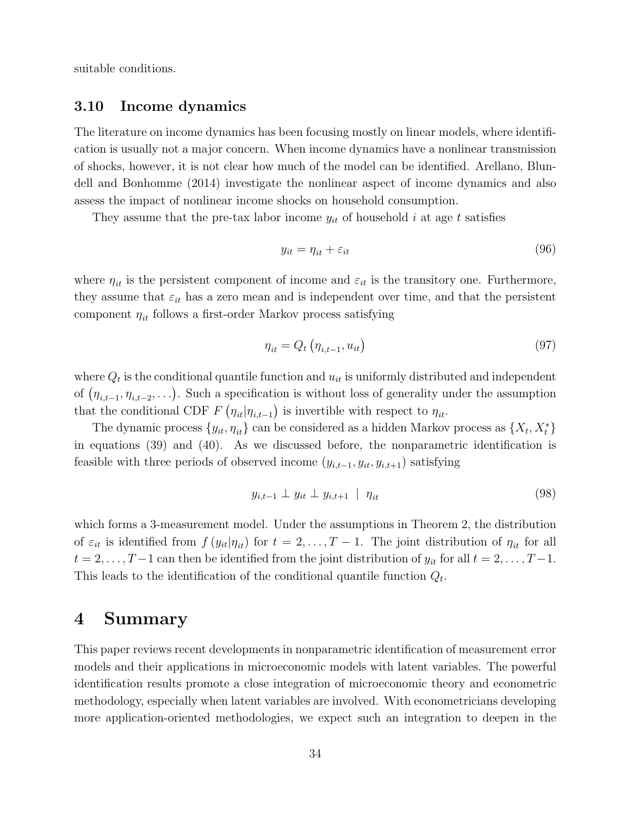suitable conditions.

## 3.10 Income dynamics

The literature on income dynamics has been focusing mostly on linear models, where identification is usually not a major concern. When income dynamics have a nonlinear transmission of shocks, however, it is not clear how much of the model can be identified. Arellano, Blundell and Bonhomme (2014) investigate the nonlinear aspect of income dynamics and also assess the impact of nonlinear income shocks on household consumption.

They assume that the pre-tax labor income  $y_{it}$  of household i at age t satisfies

$$
y_{it} = \eta_{it} + \varepsilon_{it} \tag{96}
$$

where  $\eta_{it}$  is the persistent component of income and  $\varepsilon_{it}$  is the transitory one. Furthermore, they assume that  $\varepsilon_{it}$  has a zero mean and is independent over time, and that the persistent component  $\eta_{it}$  follows a first-order Markov process satisfying

$$
\eta_{it} = Q_t \left( \eta_{i,t-1}, u_{it} \right) \tag{97}
$$

where  $Q_t$  is the conditional quantile function and  $u_{it}$  is uniformly distributed and independent of  $(\eta_{i,t-1}, \eta_{i,t-2}, \ldots)$ . Such a specification is without loss of generality under the assumption that the conditional CDF  $F\left(\eta_{it}|\eta_{i,t-1}\right)$  is invertible with respect to  $\eta_{it}$ .

The dynamic process  $\{y_{it}, \eta_{it}\}$  can be considered as a hidden Markov process as  $\{X_t, X_t^*\}$ in equations (39) and (40). As we discussed before, the nonparametric identification is feasible with three periods of observed income  $(y_{i,t-1}, y_{it}, y_{i,t+1})$  satisfying

$$
y_{i,t-1} \perp y_{it} \perp y_{i,t+1} \mid \eta_{it} \tag{98}
$$

which forms a 3-measurement model. Under the assumptions in Theorem 2, the distribution of  $\varepsilon_{it}$  is identified from  $f(y_{it}|\eta_{it})$  for  $t = 2, \ldots, T-1$ . The joint distribution of  $\eta_{it}$  for all  $t = 2, \ldots, T-1$  can then be identified from the joint distribution of  $y_{it}$  for all  $t = 2, \ldots, T-1$ . This leads to the identification of the conditional quantile function  $Q_t$ .

## 4 Summary

This paper reviews recent developments in nonparametric identification of measurement error models and their applications in microeconomic models with latent variables. The powerful identification results promote a close integration of microeconomic theory and econometric methodology, especially when latent variables are involved. With econometricians developing more application-oriented methodologies, we expect such an integration to deepen in the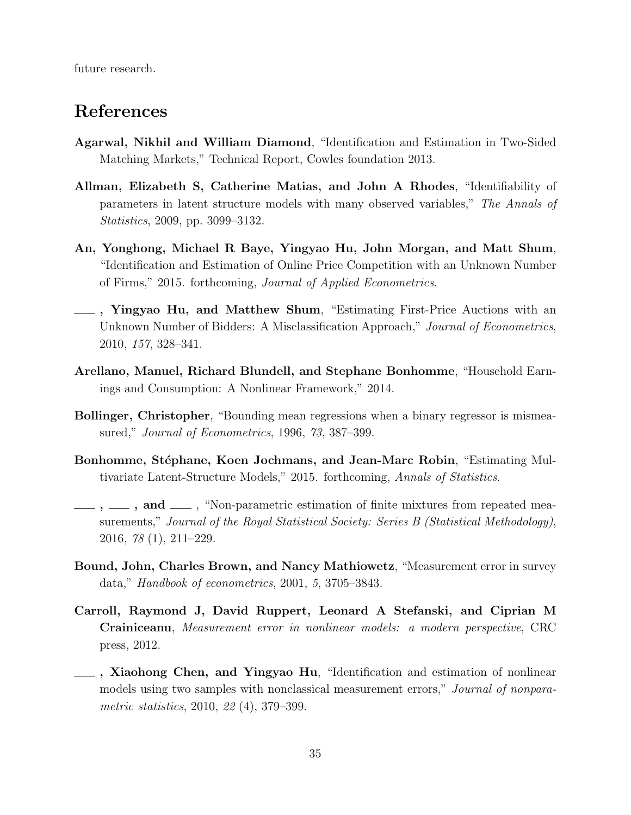future research.

## References

- Agarwal, Nikhil and William Diamond, "Identification and Estimation in Two-Sided Matching Markets," Technical Report, Cowles foundation 2013.
- Allman, Elizabeth S, Catherine Matias, and John A Rhodes, "Identifiability of parameters in latent structure models with many observed variables," The Annals of Statistics, 2009, pp. 3099–3132.
- An, Yonghong, Michael R Baye, Yingyao Hu, John Morgan, and Matt Shum, "Identification and Estimation of Online Price Competition with an Unknown Number of Firms," 2015. forthcoming, Journal of Applied Econometrics.
- , Yingyao Hu, and Matthew Shum, "Estimating First-Price Auctions with an Unknown Number of Bidders: A Misclassification Approach," Journal of Econometrics, 2010, 157, 328–341.
- Arellano, Manuel, Richard Blundell, and Stephane Bonhomme, "Household Earnings and Consumption: A Nonlinear Framework," 2014.
- Bollinger, Christopher, "Bounding mean regressions when a binary regressor is mismeasured," Journal of Econometrics, 1996, 73, 387–399.
- Bonhomme, Stéphane, Koen Jochmans, and Jean-Marc Robin, "Estimating Multivariate Latent-Structure Models," 2015. forthcoming, Annals of Statistics.
- ,  $\ldots$ , and  $\ldots$ , "Non-parametric estimation of finite mixtures from repeated measurements," Journal of the Royal Statistical Society: Series B (Statistical Methodology), 2016, 78 (1), 211–229.
- Bound, John, Charles Brown, and Nancy Mathiowetz, "Measurement error in survey data," Handbook of econometrics, 2001, 5, 3705–3843.
- Carroll, Raymond J, David Ruppert, Leonard A Stefanski, and Ciprian M Crainiceanu, Measurement error in nonlinear models: a modern perspective, CRC press, 2012.
- $\overline{\phantom{a}}$ , Xiaohong Chen, and Yingyao Hu, "Identification and estimation of nonlinear models using two samples with nonclassical measurement errors," Journal of nonparametric statistics, 2010, 22 (4), 379–399.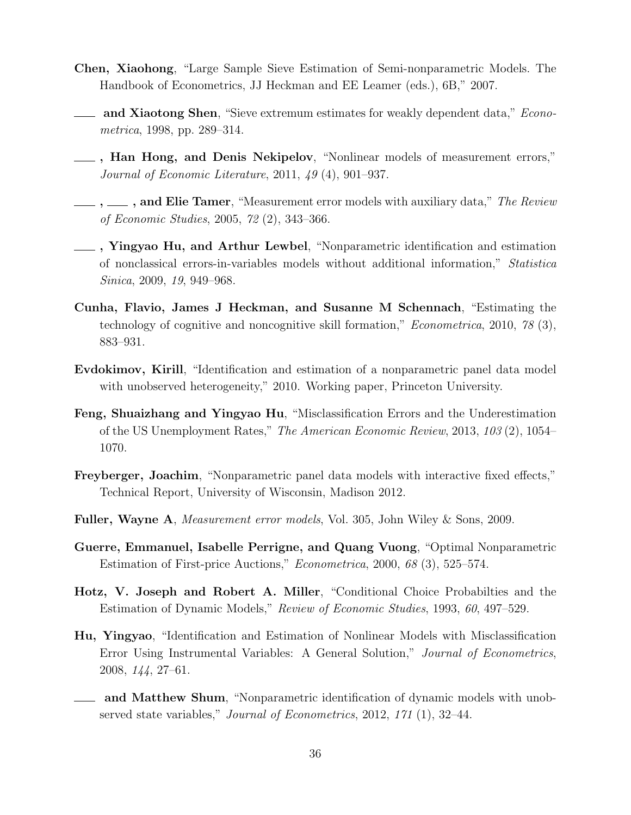- Chen, Xiaohong, "Large Sample Sieve Estimation of Semi-nonparametric Models. The Handbook of Econometrics, JJ Heckman and EE Leamer (eds.), 6B," 2007.
- and Xiaotong Shen, "Sieve extremum estimates for weakly dependent data," *Econo*metrica, 1998, pp. 289–314.
- $\_\_\_\$ , Han Hong, and Denis Nekipelov, "Nonlinear models of measurement errors," Journal of Economic Literature, 2011, 49 (4), 901–937.
- $,\_\_\_\$ , and Elie Tamer, "Measurement error models with auxiliary data," *The Review* of Economic Studies, 2005, 72 (2), 343–366.
- , Yingyao Hu, and Arthur Lewbel, "Nonparametric identification and estimation of nonclassical errors-in-variables models without additional information," Statistica Sinica, 2009, 19, 949–968.
- Cunha, Flavio, James J Heckman, and Susanne M Schennach, "Estimating the technology of cognitive and noncognitive skill formation," Econometrica, 2010, 78 (3), 883–931.
- Evdokimov, Kirill, "Identification and estimation of a nonparametric panel data model with unobserved heterogeneity," 2010. Working paper, Princeton University.
- Feng, Shuaizhang and Yingyao Hu, "Misclassification Errors and the Underestimation of the US Unemployment Rates," The American Economic Review, 2013, 103 (2), 1054– 1070.
- Freyberger, Joachim, "Nonparametric panel data models with interactive fixed effects," Technical Report, University of Wisconsin, Madison 2012.
- Fuller, Wayne A, Measurement error models, Vol. 305, John Wiley & Sons, 2009.
- Guerre, Emmanuel, Isabelle Perrigne, and Quang Vuong, "Optimal Nonparametric Estimation of First-price Auctions," Econometrica, 2000, 68 (3), 525–574.
- Hotz, V. Joseph and Robert A. Miller, "Conditional Choice Probabilties and the Estimation of Dynamic Models," Review of Economic Studies, 1993, 60, 497–529.
- Hu, Yingyao, "Identification and Estimation of Nonlinear Models with Misclassification Error Using Instrumental Variables: A General Solution," Journal of Econometrics, 2008, 144, 27–61.
- and Matthew Shum, "Nonparametric identification of dynamic models with unobserved state variables," Journal of Econometrics, 2012, 171 (1), 32–44.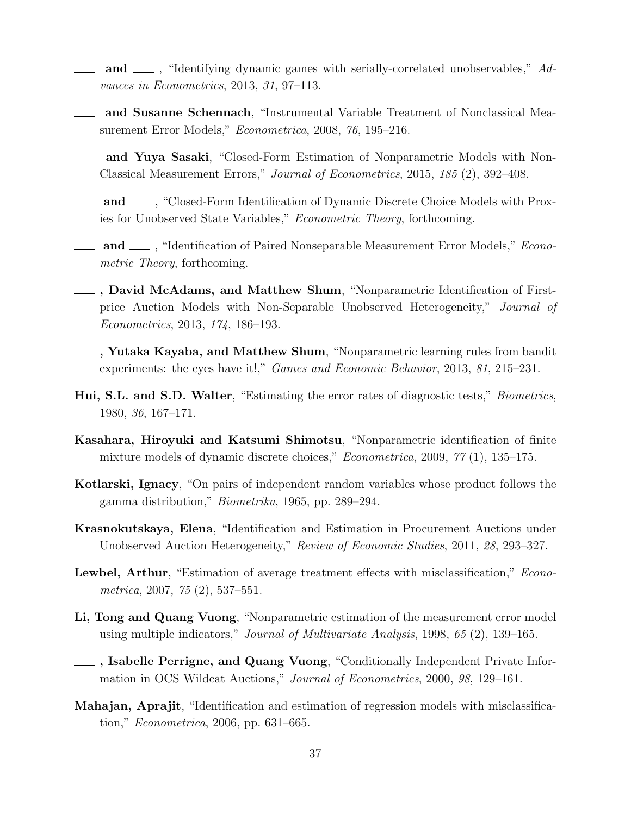- and  $\mu$ , "Identifying dynamic games with serially-correlated unobservables," Advances in Econometrics, 2013, 31, 97–113.
- and Susanne Schennach, "Instrumental Variable Treatment of Nonclassical Measurement Error Models," Econometrica, 2008, 76, 195–216.
- and Yuya Sasaki, "Closed-Form Estimation of Nonparametric Models with Non-Classical Measurement Errors," Journal of Econometrics, 2015, 185 (2), 392–408.
- and <sub>1</sub>, "Closed-Form Identification of Dynamic Discrete Choice Models with Proxies for Unobserved State Variables," Econometric Theory, forthcoming.
- **and** , "Identification of Paired Nonseparable Measurement Error Models," *Econo*metric Theory, forthcoming.
- , David McAdams, and Matthew Shum, "Nonparametric Identification of Firstprice Auction Models with Non-Separable Unobserved Heterogeneity," Journal of Econometrics, 2013, 174, 186–193.
- , Yutaka Kayaba, and Matthew Shum, "Nonparametric learning rules from bandit experiments: the eyes have it!," Games and Economic Behavior, 2013, 81, 215–231.
- Hui, S.L. and S.D. Walter, "Estimating the error rates of diagnostic tests," Biometrics, 1980, 36, 167–171.
- Kasahara, Hiroyuki and Katsumi Shimotsu, "Nonparametric identification of finite mixture models of dynamic discrete choices," Econometrica, 2009, 77 (1), 135–175.
- Kotlarski, Ignacy, "On pairs of independent random variables whose product follows the gamma distribution," Biometrika, 1965, pp. 289–294.
- Krasnokutskaya, Elena, "Identification and Estimation in Procurement Auctions under Unobserved Auction Heterogeneity," Review of Economic Studies, 2011, 28, 293–327.
- Lewbel, Arthur, "Estimation of average treatment effects with misclassification," *Econo*metrica, 2007, 75 (2), 537–551.
- Li, Tong and Quang Vuong, "Nonparametric estimation of the measurement error model using multiple indicators," Journal of Multivariate Analysis, 1998, 65 (2), 139–165.
- **Let Alleholf Perrigne, and Quang Vuong, "Conditionally Independent Private Infor**mation in OCS Wildcat Auctions," Journal of Econometrics, 2000, 98, 129–161.
- Mahajan, Aprajit, "Identification and estimation of regression models with misclassification," Econometrica, 2006, pp. 631–665.